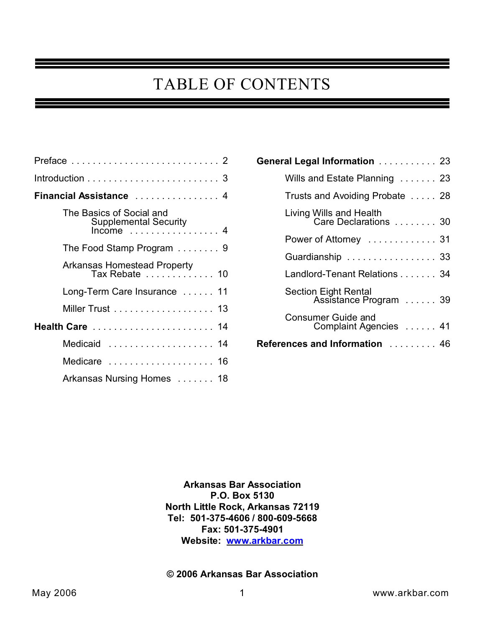# TABLE OF CONTENTS

| Financial Assistance  4                                                |
|------------------------------------------------------------------------|
| The Basics of Social and<br><b>Supplemental Security</b><br>$Income$ 4 |
| The Food Stamp Program $\ldots \ldots$ .                               |
| <b>Arkansas Homestead Property</b><br>Tax Rebate  10                   |
| Long-Term Care Insurance 11                                            |
| Miller Trust 13                                                        |
| Health Care  14                                                        |
| Medicaid  14                                                           |
| Medicare  16                                                           |
| Arkansas Nursing Homes  18                                             |

| General Legal Information  23                        |  |
|------------------------------------------------------|--|
| Wills and Estate Planning 23                         |  |
| Trusts and Avoiding Probate  28                      |  |
| Living Wills and Health<br>Care Declarations  30     |  |
| Power of Attorney 31                                 |  |
| Guardianship  33                                     |  |
| Landlord-Tenant Relations 34                         |  |
| <b>Section Eight Rental</b><br>Assistance Program 39 |  |
| <b>Consumer Guide and</b><br>Complaint Agencies  41  |  |
| References and Information  46                       |  |

**Arkansas Bar Association P.O. Box 5130 North Little Rock, Arkansas 72119 Tel: 501-375-4606 / 800-609-5668 Fax: 501-375-4901 Website: [www.arkbar.com](http://www.arkbar.com)**

#### **© 2006 Arkansas Bar Association**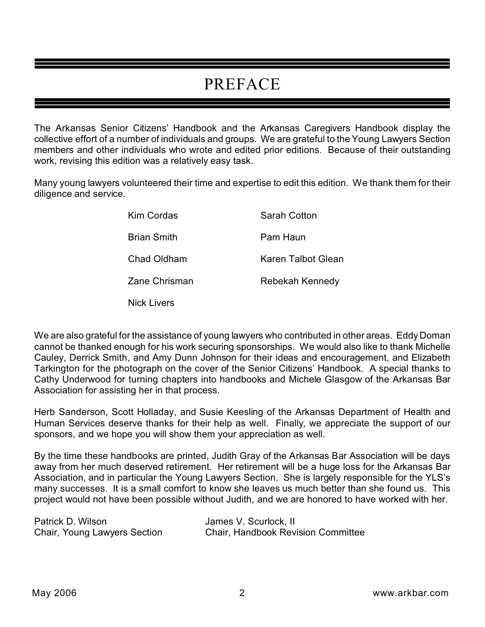# PREFACE

The Arkansas Senior Citizens' Handbook and the Arkansas Caregivers Handbook display the collective effort of a number of individuals and groups. We are grateful to the Young Lawyers Section members and other individuals who wrote and edited prior editions. Because of their outstanding work, revising this edition was a relatively easy task.

Many young lawyers volunteered their time and expertise to edit this edition. We thank them for their diligence and service.

| Kim Cordas         | Sarah Cotton       |
|--------------------|--------------------|
| <b>Brian Smith</b> | Pam Haun           |
| Chad Oldham        | Karen Talbot Glean |
| Zane Chrisman      | Rebekah Kennedy    |
|                    |                    |

Nick Livers

We are also grateful for the assistance of young lawyers who contributed in other areas. Eddy Doman cannot be thanked enough for his work securing sponsorships. We would also like to thank Michelle Cauley, Derrick Smith, and Amy Dunn Johnson for their ideas and encouragement, and Elizabeth Tarkington for the photograph on the cover of the Senior Citizens' Handbook. A special thanks to Cathy Underwood for turning chapters into handbooks and Michele Glasgow of the Arkansas Bar Association for assisting her in that process.

Herb Sanderson, Scott Holladay, and Susie Keesling of the Arkansas Department of Health and Human Services deserve thanks for their help as well. Finally, we appreciate the support of our sponsors, and we hope you will show them your appreciation as well.

By the time these handbooks are printed, Judith Gray of the Arkansas Bar Association will be days away from her much deserved retirement. Her retirement will be a huge loss for the Arkansas Bar Association, and in particular the Young Lawyers Section. She is largely responsible for the YLS's many successes. It is a small comfort to know she leaves us much better than she found us. This project would not have been possible without Judith, and we are honored to have worked with her.

| Patrick D. Wilson            | James V. Scurlock, II                     |
|------------------------------|-------------------------------------------|
| Chair, Young Lawyers Section | <b>Chair, Handbook Revision Committee</b> |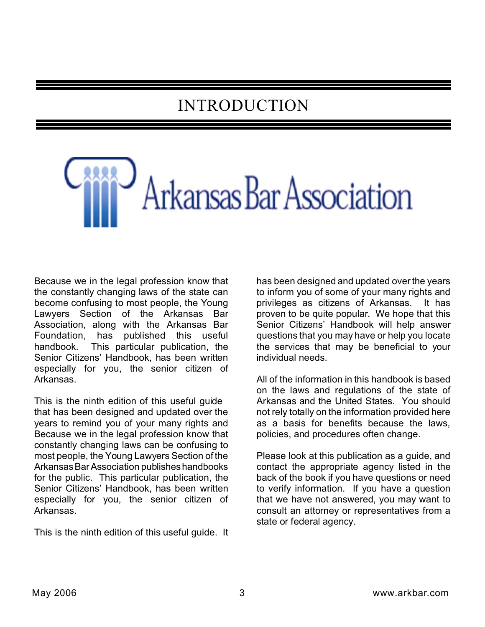# INTRODUCTION

Arkansas Bar Association

Because we in the legal profession know that the constantly changing laws of the state can become confusing to most people, the Young Lawyers Section of the Arkansas Bar Association, along with the Arkansas Bar<br>Foundation, has published this useful has published this useful handbook. This particular publication, the Senior Citizens' Handbook, has been written especially for you, the senior citizen of Arkansas.

This is the ninth edition of this useful guide that has been designed and updated over the years to remind you of your many rights and Because we in the legal profession know that constantly changing laws can be confusing to most people, the Young Lawyers Section of the Arkansas Bar Association publishes handbooks for the public. This particular publication, the Senior Citizens' Handbook, has been written especially for you, the senior citizen of Arkansas.

This is the ninth edition of this useful guide. It

has been designed and updated over the years to inform you of some of your many rights and privileges as citizens of Arkansas. It has proven to be quite popular. We hope that this Senior Citizens' Handbook will help answer questions that you may have or help you locate the services that may be beneficial to your individual needs.

All of the information in this handbook is based on the laws and regulations of the state of Arkansas and the United States. You should not rely totally on the information provided here as a basis for benefits because the laws, policies, and procedures often change.

Please look at this publication as a guide, and contact the appropriate agency listed in the back of the book if you have questions or need to verify information. If you have a question that we have not answered, you may want to consult an attorney or representatives from a state or federal agency.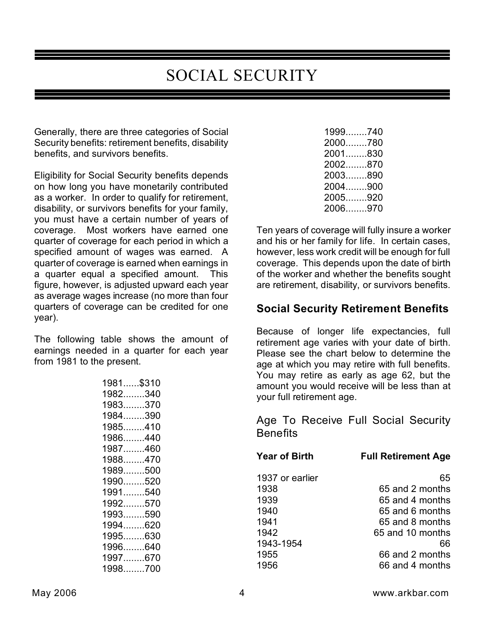# SOCIAL SECURITY

Generally, there are three categories of Social Security benefits: retirement benefits, disability benefits, and survivors benefits.

Eligibility for Social Security benefits depends on how long you have monetarily contributed as a worker. In order to qualify for retirement, disability, or survivors benefits for your family, you must have a certain number of years of coverage. Most workers have earned one quarter of coverage for each period in which a specified amount of wages was earned. A quarter of coverage is earned when earnings in a quarter equal a specified amount. This figure, however, is adjusted upward each year as average wages increase (no more than four quarters of coverage can be credited for one year).

The following table shows the amount of earnings needed in a quarter for each year from 1981 to the present.

| 1981\$310  |  |
|------------|--|
| 1982340    |  |
| 1983370    |  |
| 1984………390 |  |
| 1985410    |  |
| 1986440    |  |
| 1987460    |  |
| 1988470    |  |
| 1989500    |  |
| 1990……520  |  |
| 1991540    |  |
| 1992570    |  |
| 1993590    |  |
| 1994620    |  |
| 1995630    |  |
| 1996……640  |  |
| 1997670    |  |
| 1998700    |  |

| 1999740 |  |
|---------|--|
| 2000780 |  |
| 2001830 |  |
| 2002870 |  |
| 2003890 |  |
| 2004900 |  |
| 2005920 |  |
| 2006970 |  |
|         |  |

Ten years of coverage will fully insure a worker and his or her family for life. In certain cases, however, less work credit will be enough for full coverage. This depends upon the date of birth of the worker and whether the benefits sought are retirement, disability, or survivors benefits.

### **Social Security Retirement Benefits**

Because of longer life expectancies, full retirement age varies with your date of birth. Please see the chart below to determine the age at which you may retire with full benefits. You may retire as early as age 62, but the amount you would receive will be less than at your full retirement age.

Age To Receive Full Social Security **Benefits** 

| <b>Year of Birth</b> | <b>Full Retirement Age</b> |
|----------------------|----------------------------|
| 1937 or earlier      | 65                         |
| 1938                 | 65 and 2 months            |
| 1939                 | 65 and 4 months            |
| 1940                 | 65 and 6 months            |
| 1941                 | 65 and 8 months            |
| 1942                 | 65 and 10 months           |
| 1943-1954            | 66                         |
| 1955                 | 66 and 2 months            |
| 1956                 | 66 and 4 months            |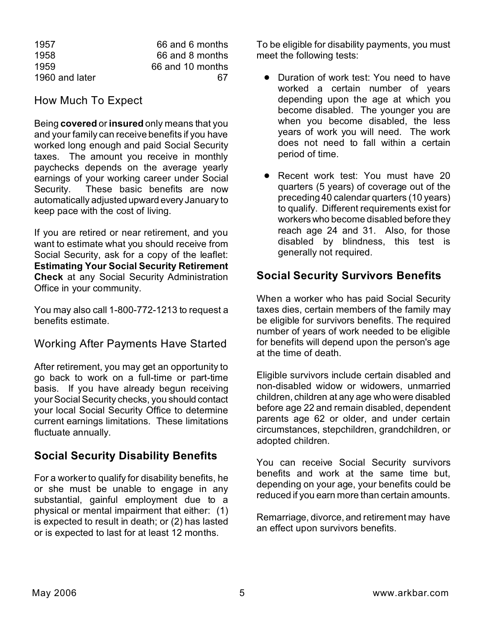| 1957           | 66 and 6 months  |
|----------------|------------------|
| 1958           | 66 and 8 months  |
| 1959           | 66 and 10 months |
| 1960 and later | 67               |

### How Much To Expect

Being **covered** or **insured** only means that you and your family can receive benefits if you have worked long enough and paid Social Security taxes. The amount you receive in monthly paychecks depends on the average yearly earnings of your working career under Social Security. These basic benefits are now automatically adjusted upward every January to keep pace with the cost of living.

If you are retired or near retirement, and you want to estimate what you should receive from Social Security, ask for a copy of the leaflet: **Estimating Your Social Security Retirement Check** at any Social Security Administration Office in your community.

You may also call 1-800-772-1213 to request a benefits estimate.

# Working After Payments Have Started

After retirement, you may get an opportunity to go back to work on a full-time or part-time basis. If you have already begun receiving your Social Security checks, you should contact your local Social Security Office to determine current earnings limitations. These limitations fluctuate annually.

# **Social Security Disability Benefits**

For a worker to qualify for disability benefits, he or she must be unable to engage in any substantial, gainful employment due to a physical or mental impairment that either: (1) is expected to result in death; or (2) has lasted or is expected to last for at least 12 months.

To be eligible for disability payments, you must meet the following tests:

- Duration of work test: You need to have worked a certain number of years depending upon the age at which you become disabled. The younger you are when you become disabled, the less years of work you will need. The work does not need to fall within a certain period of time.
- **•** Recent work test: You must have 20 quarters (5 years) of coverage out of the preceding 40 calendar quarters (10 years) to qualify. Different requirements exist for workers who become disabled before they reach age 24 and 31. Also, for those disabled by blindness, this test is generally not required.

# **Social Security Survivors Benefits**

When a worker who has paid Social Security taxes dies, certain members of the family may be eligible for survivors benefits. The required number of years of work needed to be eligible for benefits will depend upon the person's age at the time of death.

Eligible survivors include certain disabled and non-disabled widow or widowers, unmarried children, children at any age who were disabled before age 22 and remain disabled, dependent parents age 62 or older, and under certain circumstances, stepchildren, grandchildren, or adopted children.

You can receive Social Security survivors benefits and work at the same time but, depending on your age, your benefits could be reduced if you earn more than certain amounts.

Remarriage, divorce, and retirement may have an effect upon survivors benefits.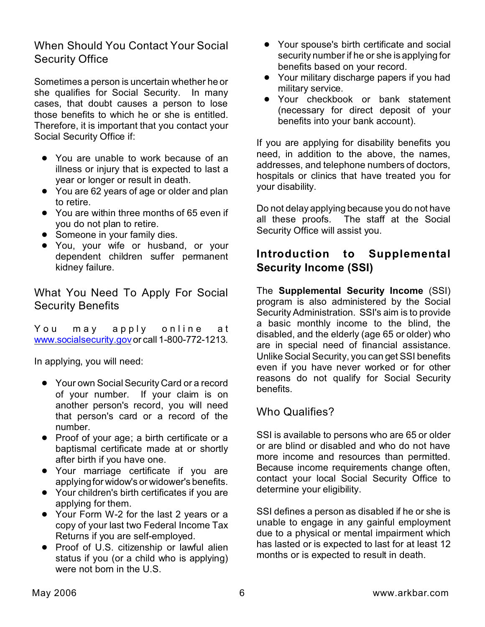# When Should You Contact Your Social Security Office

Sometimes a person is uncertain whether he or she qualifies for Social Security. In many cases, that doubt causes a person to lose those benefits to which he or she is entitled. Therefore, it is important that you contact your Social Security Office if:

- You are unable to work because of an illness or injury that is expected to last a year or longer or result in death.
- You are 62 years of age or older and plan to retire.
- You are within three months of 65 even if you do not plan to retire.
- Someone in your family dies.
- You, your wife or husband, or your dependent children suffer permanent kidney failure.

# What You Need To Apply For Social Security Benefits

You may apply online at [www.socialsecurity.gov](http://www.socialsecurity.gov) or call 1-800-772-1213.

In applying, you will need:

- Your own Social Security Card or a record of your number. If your claim is on another person's record, you will need that person's card or a record of the number.
- Proof of your age; a birth certificate or a baptismal certificate made at or shortly after birth if you have one.
- Your marriage certificate if you are applying for widow's or widower's benefits.
- Your children's birth certificates if you are applying for them.
- Your Form W-2 for the last 2 years or a copy of your last two Federal Income Tax Returns if you are self-employed.
- Proof of U.S. citizenship or lawful alien status if you (or a child who is applying) were not born in the U.S.
- Your spouse's birth certificate and social security number if he or she is applying for benefits based on your record.
- Your military discharge papers if you had military service.
- Your checkbook or bank statement (necessary for direct deposit of your benefits into your bank account).

If you are applying for disability benefits you need, in addition to the above, the names, addresses, and telephone numbers of doctors, hospitals or clinics that have treated you for your disability.

Do not delay applying because you do not have all these proofs. The staff at the Social Security Office will assist you.

# **Introduction to Supplemental Security Income (SSI)**

The **Supplemental Security Income** (SSI) program is also administered by the Social Security Administration. SSI's aim is to provide a basic monthly income to the blind, the disabled, and the elderly (age 65 or older) who are in special need of financial assistance. Unlike Social Security, you can get SSI benefits even if you have never worked or for other reasons do not qualify for Social Security benefits.

# Who Qualifies?

SSI is available to persons who are 65 or older or are blind or disabled and who do not have more income and resources than permitted. Because income requirements change often, contact your local Social Security Office to determine your eligibility.

SSI defines a person as disabled if he or she is unable to engage in any gainful employment due to a physical or mental impairment which has lasted or is expected to last for at least 12 months or is expected to result in death.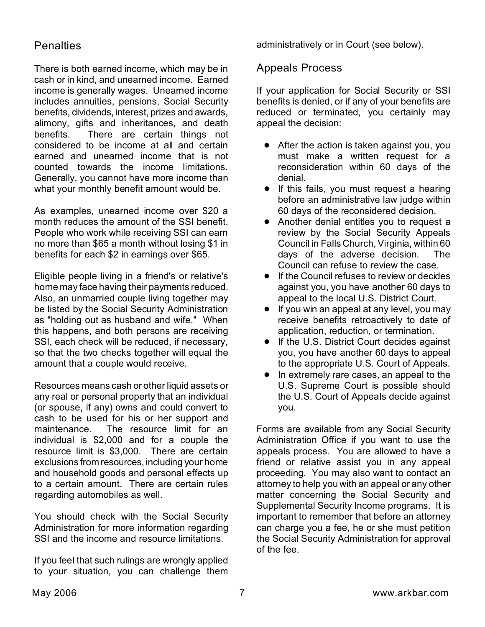### **Penalties**

There is both earned income, which may be in cash or in kind, and unearned income. Earned income is generally wages. Unearned income includes annuities, pensions, Social Security benefits, dividends, interest, prizes and awards, alimony, gifts and inheritances, and death benefits. There are certain things not considered to be income at all and certain earned and unearned income that is not counted towards the income limitations. Generally, you cannot have more income than what your monthly benefit amount would be.

As examples, unearned income over \$20 a month reduces the amount of the SSI benefit. People who work while receiving SSI can earn no more than \$65 a month without losing \$1 in benefits for each \$2 in earnings over \$65.

Eligible people living in a friend's or relative's home may face having their payments reduced. Also, an unmarried couple living together may be listed by the Social Security Administration as "holding out as husband and wife." When this happens, and both persons are receiving SSI, each check will be reduced, if necessary, so that the two checks together will equal the amount that a couple would receive.

Resources means cash or other liquid assets or any real or personal property that an individual (or spouse, if any) owns and could convert to cash to be used for his or her support and maintenance. The resource limit for an individual is \$2,000 and for a couple the resource limit is \$3,000. There are certain exclusions from resources, including your home and household goods and personal effects up to a certain amount. There are certain rules regarding automobiles as well.

You should check with the Social Security Administration for more information regarding SSI and the income and resource limitations.

If you feel that such rulings are wrongly applied to your situation, you can challenge them administratively or in Court (see below).

### Appeals Process

If your application for Social Security or SSI benefits is denied, or if any of your benefits are reduced or terminated, you certainly may appeal the decision:

- After the action is taken against you, you must make a written request for a reconsideration within 60 days of the denial.
- If this fails, you must request a hearing before an administrative law judge within 60 days of the reconsidered decision.
- Another denial entitles you to request a review by the Social Security Appeals Council in Falls Church, Virginia, within 60 days of the adverse decision. The Council can refuse to review the case.
- **•** If the Council refuses to review or decides against you, you have another 60 days to appeal to the local U.S. District Court.
- **If you win an appeal at any level, you may** receive benefits retroactively to date of application, reduction, or termination.
- **.** If the U.S. District Court decides against you, you have another 60 days to appeal to the appropriate U.S. Court of Appeals.
- In extremely rare cases, an appeal to the U.S. Supreme Court is possible should the U.S. Court of Appeals decide against you.

Forms are available from any Social Security Administration Office if you want to use the appeals process. You are allowed to have a friend or relative assist you in any appeal proceeding. You may also want to contact an attorney to help you with an appeal or any other matter concerning the Social Security and Supplemental Security Income programs. It is important to remember that before an attorney can charge you a fee, he or she must petition the Social Security Administration for approval of the fee.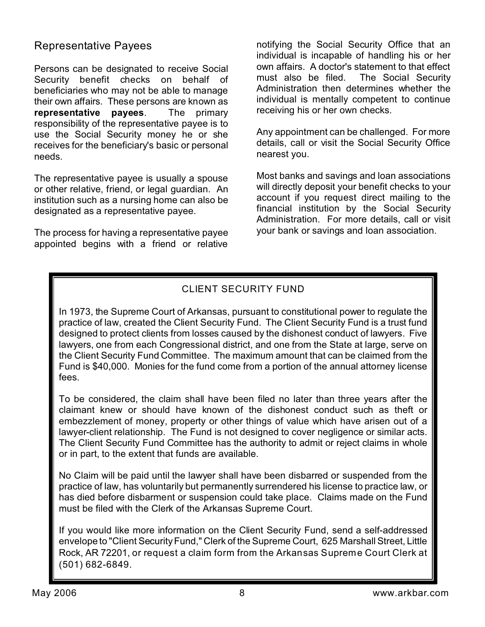### Representative Payees

Persons can be designated to receive Social Security benefit checks on behalf of beneficiaries who may not be able to manage their own affairs. These persons are known as **representative payees**. The primary responsibility of the representative payee is to use the Social Security money he or she receives for the beneficiary's basic or personal needs.

The representative payee is usually a spouse or other relative, friend, or legal guardian. An institution such as a nursing home can also be designated as a representative payee.

The process for having a representative payee appointed begins with a friend or relative

notifying the Social Security Office that an individual is incapable of handling his or her own affairs. A doctor's statement to that effect must also be filed. The Social Security Administration then determines whether the individual is mentally competent to continue receiving his or her own checks.

Any appointment can be challenged. For more details, call or visit the Social Security Office nearest you.

Most banks and savings and loan associations will directly deposit your benefit checks to your account if you request direct mailing to the financial institution by the Social Security Administration. For more details, call or visit your bank or savings and loan association.

# CLIENT SECURITY FUND

In 1973, the Supreme Court of Arkansas, pursuant to constitutional power to regulate the practice of law, created the Client Security Fund. The Client Security Fund is a trust fund designed to protect clients from losses caused by the dishonest conduct of lawyers. Five lawyers, one from each Congressional district, and one from the State at large, serve on the Client Security Fund Committee. The maximum amount that can be claimed from the Fund is \$40,000. Monies for the fund come from a portion of the annual attorney license fees.

To be considered, the claim shall have been filed no later than three years after the claimant knew or should have known of the dishonest conduct such as theft or embezzlement of money, property or other things of value which have arisen out of a lawyer-client relationship. The Fund is not designed to cover negligence or similar acts. The Client Security Fund Committee has the authority to admit or reject claims in whole or in part, to the extent that funds are available.

No Claim will be paid until the lawyer shall have been disbarred or suspended from the practice of law, has voluntarily but permanently surrendered his license to practice law, or has died before disbarment or suspension could take place. Claims made on the Fund must be filed with the Clerk of the Arkansas Supreme Court.

If you would like more information on the Client Security Fund, send a self-addressed envelope to "Client Security Fund," Clerk of the Supreme Court, 625 Marshall Street, Little Rock, AR 72201, or request a claim form from the Arkansas Supreme Court Clerk at (501) 682-6849.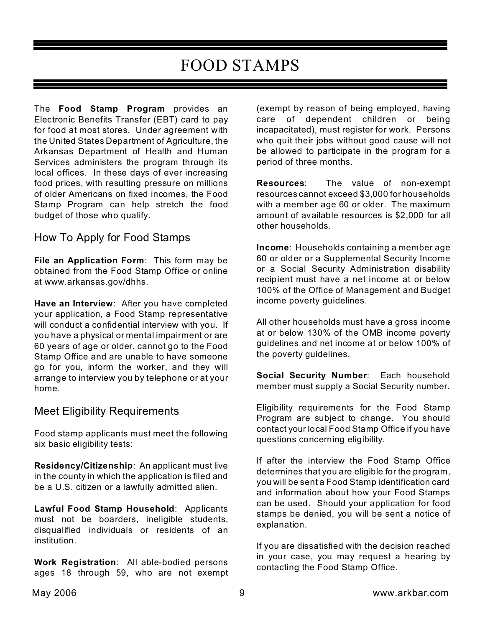# FOOD STAMPS

The **Food Stamp Program** provides an Electronic Benefits Transfer (EBT) card to pay for food at most stores. Under agreement with the United States Department of Agriculture, the Arkansas Department of Health and Human Services administers the program through its local offices. In these days of ever increasing food prices, with resulting pressure on millions of older Americans on fixed incomes, the Food Stamp Program can help stretch the food budget of those who qualify.

# How To Apply for Food Stamps

**File an Application Form**: This form may be obtained from the Food Stamp Office or online at www.arkansas.gov/dhhs.

**Have an Interview**: After you have completed your application, a Food Stamp representative will conduct a confidential interview with you. If you have a physical or mental impairment or are 60 years of age or older, cannot go to the Food Stamp Office and are unable to have someone go for you, inform the worker, and they will arrange to interview you by telephone or at your home.

# Meet Eligibility Requirements

Food stamp applicants must meet the following six basic eligibility tests:

**Residency/Citizenship**: An applicant must live in the county in which the application is filed and be a U.S. citizen or a lawfully admitted alien.

**Lawful Food Stamp Household**: Applicants must not be boarders, ineligible students, disqualified individuals or residents of an institution.

**Work Registration**: All able-bodied persons ages 18 through 59, who are not exempt (exempt by reason of being employed, having care of dependent children or being incapacitated), must register for work. Persons who quit their jobs without good cause will not be allowed to participate in the program for a period of three months.

**Resources**: The value of non-exempt resources cannot exceed \$3,000 for households with a member age 60 or older. The maximum amount of available resources is \$2,000 for all other households.

**Income**: Households containing a member age 60 or older or a Supplemental Security Income or a Social Security Administration disability recipient must have a net income at or below 100% of the Office of Management and Budget income poverty guidelines.

All other households must have a gross income at or below 130% of the OMB income poverty guidelines and net income at or below 100% of the poverty guidelines.

**Social Security Number**: Each household member must supply a Social Security number.

Eligibility requirements for the Food Stamp Program are subject to change. You should contact your local Food Stamp Office if you have questions concerning eligibility.

If after the interview the Food Stamp Office determines that you are eligible for the program, you will be sent a Food Stamp identification card and information about how your Food Stamps can be used. Should your application for food stamps be denied, you will be sent a notice of explanation.

If you are dissatisfied with the decision reached in your case, you may request a hearing by contacting the Food Stamp Office.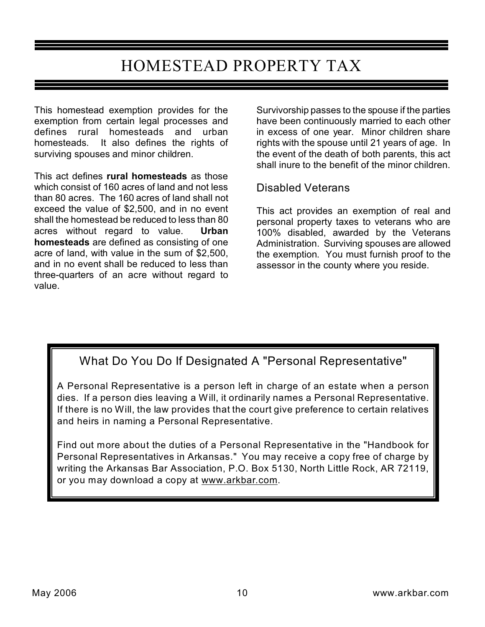# HOMESTEAD PROPERTY TAX

This homestead exemption provides for the exemption from certain legal processes and defines rural homesteads and urban homesteads. It also defines the rights of surviving spouses and minor children.

This act defines **rural homesteads** as those which consist of 160 acres of land and not less than 80 acres. The 160 acres of land shall not exceed the value of \$2,500, and in no event shall the homestead be reduced to less than 80 acres without regard to value. **Urban homesteads** are defined as consisting of one acre of land, with value in the sum of \$2,500, and in no event shall be reduced to less than three-quarters of an acre without regard to value.

Survivorship passes to the spouse if the parties have been continuously married to each other in excess of one year. Minor children share rights with the spouse until 21 years of age. In the event of the death of both parents, this act shall inure to the benefit of the minor children.

### Disabled Veterans

This act provides an exemption of real and personal property taxes to veterans who are 100% disabled, awarded by the Veterans Administration. Surviving spouses are allowed the exemption. You must furnish proof to the assessor in the county where you reside.

# What Do You Do If Designated A "Personal Representative"

A Personal Representative is a person left in charge of an estate when a person dies. If a person dies leaving a Will, it ordinarily names a Personal Representative. If there is no Will, the law provides that the court give preference to certain relatives and heirs in naming a Personal Representative.

Find out more about the duties of a Personal Representative in the "Handbook for Personal Representatives in Arkansas." You may receive a copy free of charge by writing the Arkansas Bar Association, P.O. Box 5130, North Little Rock, AR 72119, or you may download a copy at www.arkbar.com.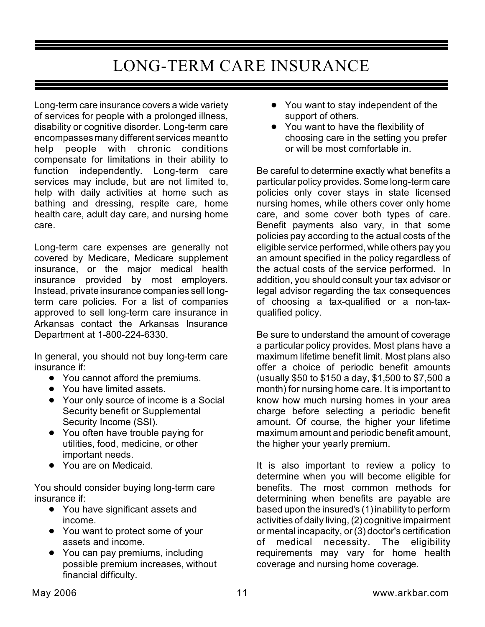# LONG-TERM CARE INSURANCE

Long-term care insurance covers a wide variety of services for people with a prolonged illness, disability or cognitive disorder. Long-term care encompasses many different services meant to help people with chronic conditions compensate for limitations in their ability to function independently. Long-term care services may include, but are not limited to, help with daily activities at home such as bathing and dressing, respite care, home health care, adult day care, and nursing home care.

Long-term care expenses are generally not covered by Medicare, Medicare supplement insurance, or the major medical health insurance provided by most employers. Instead, private insurance companies sell longterm care policies. For a list of companies approved to sell long-term care insurance in Arkansas contact the Arkansas Insurance Department at 1-800-224-6330.

In general, you should not buy long-term care insurance if:

- You cannot afford the premiums.
- You have limited assets.
- Your only source of income is a Social Security benefit or Supplemental Security Income (SSI).
- You often have trouble paying for utilities, food, medicine, or other important needs.
- You are on Medicaid.

You should consider buying long-term care insurance if:

- You have significant assets and income.
- You want to protect some of your assets and income.
- You can pay premiums, including possible premium increases, without financial difficulty.
- You want to stay independent of the support of others.
- You want to have the flexibility of choosing care in the setting you prefer or will be most comfortable in.

Be careful to determine exactly what benefits a particular policy provides. Some long-term care policies only cover stays in state licensed nursing homes, while others cover only home care, and some cover both types of care. Benefit payments also vary, in that some policies pay according to the actual costs of the eligible service performed, while others pay you an amount specified in the policy regardless of the actual costs of the service performed. In addition, you should consult your tax advisor or legal advisor regarding the tax consequences of choosing a tax-qualified or a non-taxqualified policy.

Be sure to understand the amount of coverage a particular policy provides. Most plans have a maximum lifetime benefit limit. Most plans also offer a choice of periodic benefit amounts (usually \$50 to \$150 a day, \$1,500 to \$7,500 a month) for nursing home care. It is important to know how much nursing homes in your area charge before selecting a periodic benefit amount. Of course, the higher your lifetime maximum amount and periodic benefit amount, the higher your yearly premium.

It is also important to review a policy to determine when you will become eligible for benefits. The most common methods for determining when benefits are payable are based upon the insured's (1) inability to perform activities of daily living, (2) cognitive impairment or mental incapacity, or (3) doctor's certification of medical necessity. The eligibility requirements may vary for home health coverage and nursing home coverage.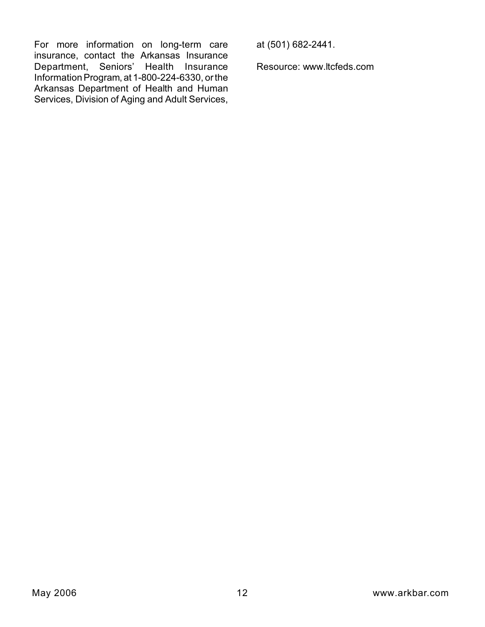For more information on long-term care insurance, contact the Arkansas Insurance Department, Seniors' Health Insurance Information Program, at 1-800-224-6330, or the Arkansas Department of Health and Human Services, Division of Aging and Adult Services,

at (501) 682-2441.

Resource: www.ltcfeds.com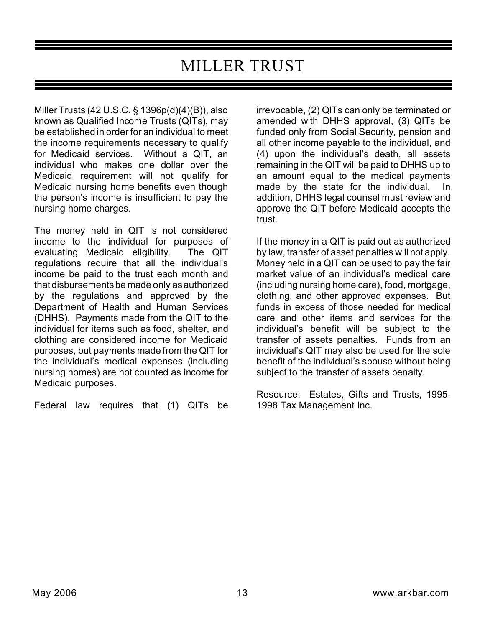# MILLER TRUST

Miller Trusts (42 U.S.C. § 1396p(d)(4)(B)), also known as Qualified Income Trusts (QITs), may be established in order for an individual to meet the income requirements necessary to qualify for Medicaid services. Without a QIT, an individual who makes one dollar over the Medicaid requirement will not qualify for Medicaid nursing home benefits even though the person's income is insufficient to pay the nursing home charges.

The money held in QIT is not considered income to the individual for purposes of evaluating Medicaid eligibility. The QIT regulations require that all the individual's income be paid to the trust each month and that disbursements be made only as authorized by the regulations and approved by the Department of Health and Human Services (DHHS). Payments made from the QIT to the individual for items such as food, shelter, and clothing are considered income for Medicaid purposes, but payments made from the QIT for the individual's medical expenses (including nursing homes) are not counted as income for Medicaid purposes.

Federal law requires that (1) QITs be

irrevocable, (2) QITs can only be terminated or amended with DHHS approval, (3) QITs be funded only from Social Security, pension and all other income payable to the individual, and (4) upon the individual's death, all assets remaining in the QIT will be paid to DHHS up to an amount equal to the medical payments made by the state for the individual. In addition, DHHS legal counsel must review and approve the QIT before Medicaid accepts the trust.

If the money in a QIT is paid out as authorized by law, transfer of asset penalties will not apply. Money held in a QIT can be used to pay the fair market value of an individual's medical care (including nursing home care), food, mortgage, clothing, and other approved expenses. But funds in excess of those needed for medical care and other items and services for the individual's benefit will be subject to the transfer of assets penalties. Funds from an individual's QIT may also be used for the sole benefit of the individual's spouse without being subject to the transfer of assets penalty.

Resource: Estates, Gifts and Trusts, 1995- 1998 Tax Management Inc.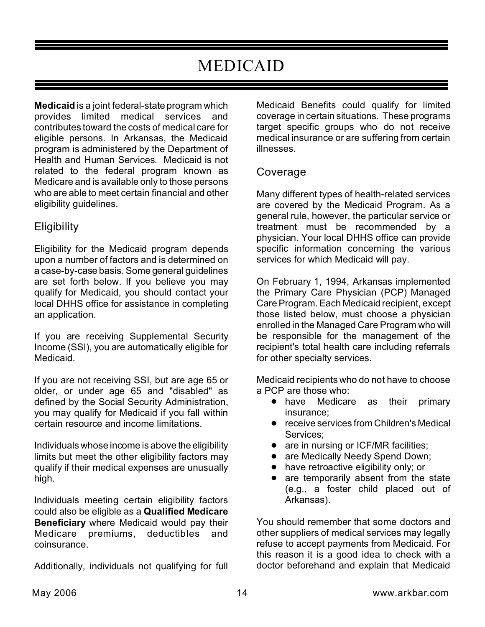# MEDICAID

**Medicaid** is a joint federal-state program which provides limited medical services and contributes toward the costs of medical care for eligible persons. In Arkansas, the Medicaid program is administered by the Department of Health and Human Services. Medicaid is not related to the federal program known as Medicare and is available only to those persons who are able to meet certain financial and other eligibility guidelines.

# **Eligibility**

Eligibility for the Medicaid program depends upon a number of factors and is determined on a case-by-case basis. Some general guidelines are set forth below. If you believe you may qualify for Medicaid, you should contact your local DHHS office for assistance in completing an application.

If you are receiving Supplemental Security Income (SSI), you are automatically eligible for Medicaid.

If you are not receiving SSI, but are age 65 or older, or under age 65 and "disabled" as defined by the Social Security Administration, you may qualify for Medicaid if you fall within certain resource and income limitations.

Individuals whose income is above the eligibility limits but meet the other eligibility factors may qualify if their medical expenses are unusually high.

Individuals meeting certain eligibility factors could also be eligible as a **Qualified Medicare Beneficiary** where Medicaid would pay their Medicare premiums, deductibles and coinsurance.

Additionally, individuals not qualifying for full

Medicaid Benefits could qualify for limited coverage in certain situations. These programs target specific groups who do not receive medical insurance or are suffering from certain illnesses.

### Coverage

Many different types of health-related services are covered by the Medicaid Program. As a general rule, however, the particular service or treatment must be recommended by a physician. Your local DHHS office can provide specific information concerning the various services for which Medicaid will pay.

On February 1, 1994, Arkansas implemented the Primary Care Physician (PCP) Managed Care Program. Each Medicaid recipient, except those listed below, must choose a physician enrolled in the Managed Care Program who will be responsible for the management of the recipient's total health care including referrals for other specialty services.

Medicaid recipients who do not have to choose a PCP are those who:

- have Medicare as their primary insurance;
- **•** receive services from Children's Medical Services;
- are in nursing or ICF/MR facilities;
- are Medically Needy Spend Down;
- have retroactive eligibility only; or
- are temporarily absent from the state (e.g., a foster child placed out of Arkansas).

You should remember that some doctors and other suppliers of medical services may legally refuse to accept payments from Medicaid. For this reason it is a good idea to check with a doctor beforehand and explain that Medicaid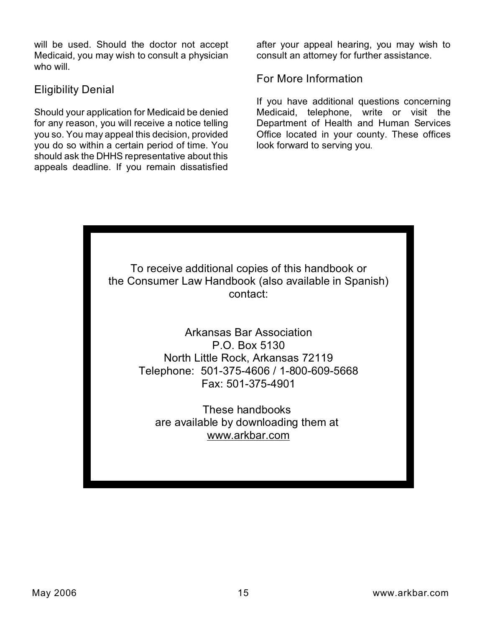will be used. Should the doctor not accept Medicaid, you may wish to consult a physician who will.

### Eligibility Denial

Should your application for Medicaid be denied for any reason, you will receive a notice telling you so. You may appeal this decision, provided you do so within a certain period of time. You should ask the DHHS representative about this appeals deadline. If you remain dissatisfied

after your appeal hearing, you may wish to consult an attorney for further assistance.

For More Information

If you have additional questions concerning Medicaid, telephone, write or visit the Department of Health and Human Services Office located in your county. These offices look forward to serving you.

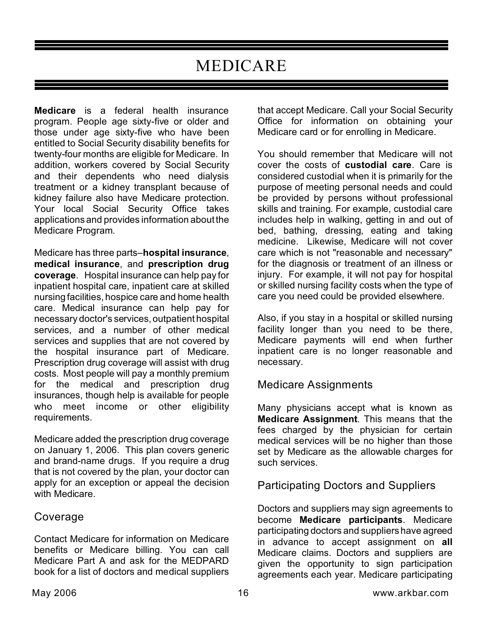# MEDICARE

**Medicare** is a federal health insurance program. People age sixty-five or older and those under age sixty-five who have been entitled to Social Security disability benefits for twenty-four months are eligible for Medicare. In addition, workers covered by Social Security and their dependents who need dialysis treatment or a kidney transplant because of kidney failure also have Medicare protection. Your local Social Security Office takes applications and provides information about the Medicare Program.

Medicare has three parts–**hospital insurance**, **medical insurance**, and **prescription drug coverage**. Hospital insurance can help pay for inpatient hospital care, inpatient care at skilled nursing facilities, hospice care and home health care. Medical insurance can help pay for necessary doctor's services, outpatient hospital services, and a number of other medical services and supplies that are not covered by the hospital insurance part of Medicare. Prescription drug coverage will assist with drug costs. Most people will pay a monthly premium for the medical and prescription drug insurances, though help is available for people who meet income or other eligibility requirements.

Medicare added the prescription drug coverage on January 1, 2006. This plan covers generic and brand-name drugs. If you require a drug that is not covered by the plan, your doctor can apply for an exception or appeal the decision with Medicare.

### Coverage

Contact Medicare for information on Medicare benefits or Medicare billing. You can call Medicare Part A and ask for the MEDPARD book for a list of doctors and medical suppliers

that accept Medicare. Call your Social Security Office for information on obtaining your Medicare card or for enrolling in Medicare.

You should remember that Medicare will not cover the costs of **custodial care**. Care is considered custodial when it is primarily for the purpose of meeting personal needs and could be provided by persons without professional skills and training. For example, custodial care includes help in walking, getting in and out of bed, bathing, dressing, eating and taking medicine. Likewise, Medicare will not cover care which is not "reasonable and necessary" for the diagnosis or treatment of an illness or injury. For example, it will not pay for hospital or skilled nursing facility costs when the type of care you need could be provided elsewhere.

Also, if you stay in a hospital or skilled nursing facility longer than you need to be there, Medicare payments will end when further inpatient care is no longer reasonable and necessary.

### Medicare Assignments

Many physicians accept what is known as **Medicare Assignment**. This means that the fees charged by the physician for certain medical services will be no higher than those set by Medicare as the allowable charges for such services.

# Participating Doctors and Suppliers

Doctors and suppliers may sign agreements to become **Medicare participants**. Medicare participating doctors and suppliers have agreed in advance to accept assignment on **all** Medicare claims. Doctors and suppliers are given the opportunity to sign participation agreements each year. Medicare participating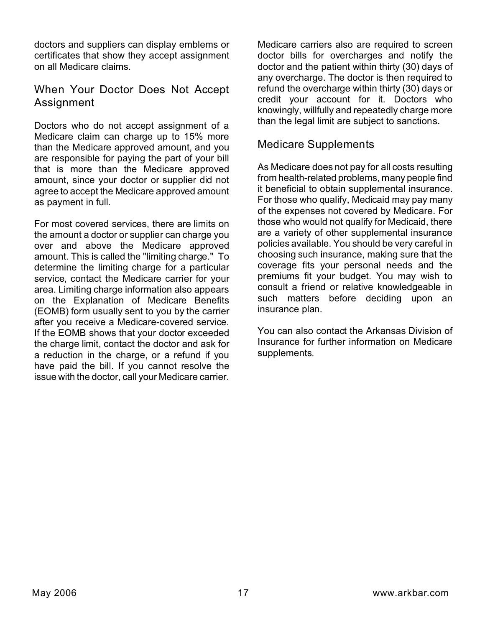doctors and suppliers can display emblems or certificates that show they accept assignment on all Medicare claims.

# When Your Doctor Does Not Accept Assignment

Doctors who do not accept assignment of a Medicare claim can charge up to 15% more than the Medicare approved amount, and you are responsible for paying the part of your bill that is more than the Medicare approved amount, since your doctor or supplier did not agree to accept the Medicare approved amount as payment in full.

For most covered services, there are limits on the amount a doctor or supplier can charge you over and above the Medicare approved amount. This is called the "limiting charge." To determine the limiting charge for a particular service, contact the Medicare carrier for your area. Limiting charge information also appears on the Explanation of Medicare Benefits (EOMB) form usually sent to you by the carrier after you receive a Medicare-covered service. If the EOMB shows that your doctor exceeded the charge limit, contact the doctor and ask for a reduction in the charge, or a refund if you have paid the bill. If you cannot resolve the issue with the doctor, call your Medicare carrier.

Medicare carriers also are required to screen doctor bills for overcharges and notify the doctor and the patient within thirty (30) days of any overcharge. The doctor is then required to refund the overcharge within thirty (30) days or credit your account for it. Doctors who knowingly, willfully and repeatedly charge more than the legal limit are subject to sanctions.

### Medicare Supplements

As Medicare does not pay for all costs resulting from health-related problems, many people find it beneficial to obtain supplemental insurance. For those who qualify, Medicaid may pay many of the expenses not covered by Medicare. For those who would not qualify for Medicaid, there are a variety of other supplemental insurance policies available. You should be very careful in choosing such insurance, making sure that the coverage fits your personal needs and the premiums fit your budget. You may wish to consult a friend or relative knowledgeable in such matters before deciding upon an insurance plan.

You can also contact the Arkansas Division of Insurance for further information on Medicare supplements.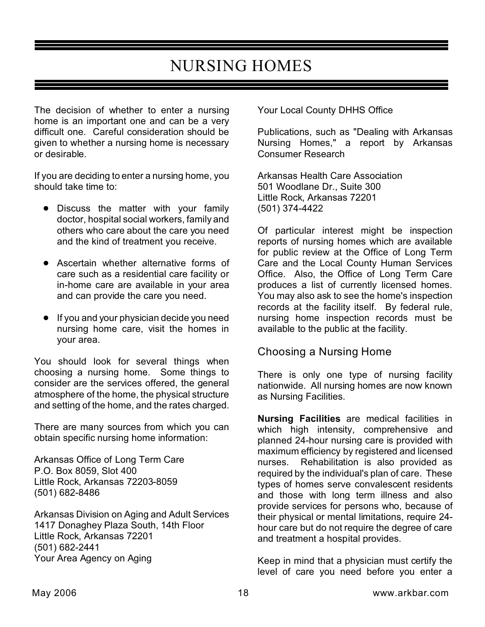# NURSING HOMES

The decision of whether to enter a nursing home is an important one and can be a very difficult one. Careful consideration should be given to whether a nursing home is necessary or desirable.

If you are deciding to enter a nursing home, you should take time to:

- Discuss the matter with your family doctor, hospital social workers, family and others who care about the care you need and the kind of treatment you receive.
- **•** Ascertain whether alternative forms of care such as a residential care facility or in-home care are available in your area and can provide the care you need.
- If you and your physician decide you need nursing home care, visit the homes in your area.

You should look for several things when choosing a nursing home. Some things to consider are the services offered, the general atmosphere of the home, the physical structure and setting of the home, and the rates charged.

There are many sources from which you can obtain specific nursing home information:

Arkansas Office of Long Term Care P.O. Box 8059, Slot 400 Little Rock, Arkansas 72203-8059 (501) 682-8486

Arkansas Division on Aging and Adult Services 1417 Donaghey Plaza South, 14th Floor Little Rock, Arkansas 72201 (501) 682-2441 Your Area Agency on Aging

Your Local County DHHS Office

Publications, such as "Dealing with Arkansas Nursing Homes," a report by Arkansas Consumer Research

Arkansas Health Care Association 501 Woodlane Dr., Suite 300 Little Rock, Arkansas 72201 (501) 374-4422

Of particular interest might be inspection reports of nursing homes which are available for public review at the Office of Long Term Care and the Local County Human Services Office. Also, the Office of Long Term Care produces a list of currently licensed homes. You may also ask to see the home's inspection records at the facility itself. By federal rule, nursing home inspection records must be available to the public at the facility.

### Choosing a Nursing Home

There is only one type of nursing facility nationwide. All nursing homes are now known as Nursing Facilities.

**Nursing Facilities** are medical facilities in which high intensity, comprehensive and planned 24-hour nursing care is provided with maximum efficiency by registered and licensed nurses. Rehabilitation is also provided as required by the individual's plan of care. These types of homes serve convalescent residents and those with long term illness and also provide services for persons who, because of their physical or mental limitations, require 24 hour care but do not require the degree of care and treatment a hospital provides.

Keep in mind that a physician must certify the level of care you need before you enter a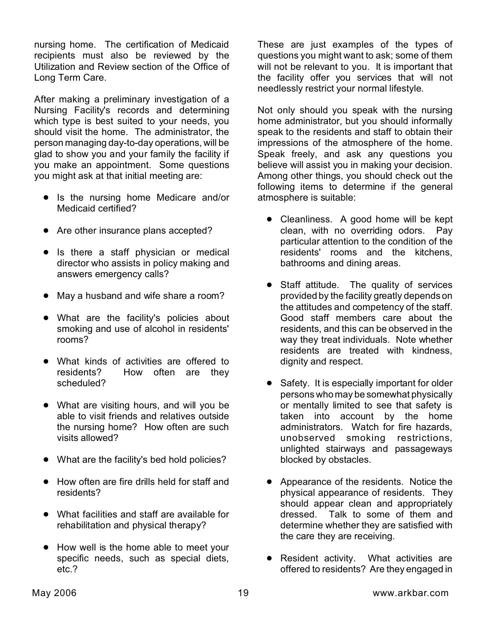nursing home. The certification of Medicaid recipients must also be reviewed by the Utilization and Review section of the Office of Long Term Care.

After making a preliminary investigation of a Nursing Facility's records and determining which type is best suited to your needs, you should visit the home. The administrator, the person managing day-to-day operations, will be glad to show you and your family the facility if you make an appointment. Some questions you might ask at that initial meeting are:

- Is the nursing home Medicare and/or Medicaid certified?
- Are other insurance plans accepted?
- Is there a staff physician or medical director who assists in policy making and answers emergency calls?
- May a husband and wife share a room?
- ! What are the facility's policies about smoking and use of alcohol in residents' rooms?
- What kinds of activities are offered to residents? How often are they scheduled?
- What are visiting hours, and will you be able to visit friends and relatives outside the nursing home? How often are such visits allowed?
- What are the facility's bed hold policies?
- How often are fire drills held for staff and residents?
- What facilities and staff are available for rehabilitation and physical therapy?
- How well is the home able to meet your specific needs, such as special diets, etc.?

These are just examples of the types of questions you might want to ask; some of them will not be relevant to you. It is important that the facility offer you services that will not needlessly restrict your normal lifestyle.

Not only should you speak with the nursing home administrator, but you should informally speak to the residents and staff to obtain their impressions of the atmosphere of the home. Speak freely, and ask any questions you believe will assist you in making your decision. Among other things, you should check out the following items to determine if the general atmosphere is suitable:

- Cleanliness. A good home will be kept clean, with no overriding odors. Pay particular attention to the condition of the residents' rooms and the kitchens, bathrooms and dining areas.
- Staff attitude. The quality of services provided by the facility greatly depends on the attitudes and competency of the staff. Good staff members care about the residents, and this can be observed in the way they treat individuals. Note whether residents are treated with kindness, dignity and respect.
- Safety. It is especially important for older persons who may be somewhat physically or mentally limited to see that safety is taken into account by the home administrators. Watch for fire hazards, unobserved smoking restrictions, unlighted stairways and passageways blocked by obstacles.
- Appearance of the residents. Notice the physical appearance of residents. They should appear clean and appropriately dressed. Talk to some of them and determine whether they are satisfied with the care they are receiving.
- Resident activity. What activities are offered to residents? Are they engaged in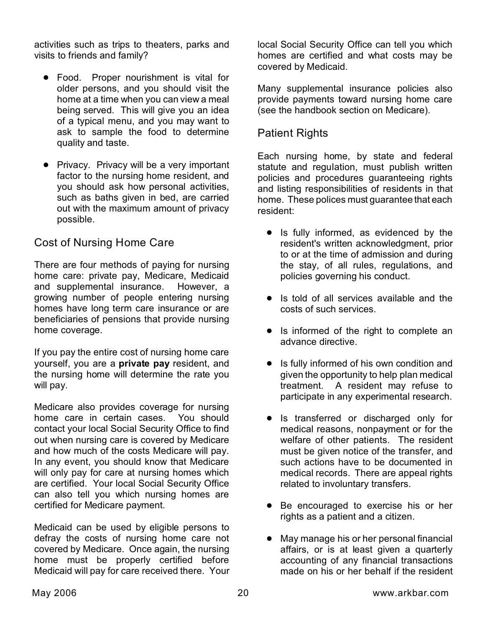activities such as trips to theaters, parks and visits to friends and family?

- **•** Food. Proper nourishment is vital for older persons, and you should visit the home at a time when you can view a meal being served. This will give you an idea of a typical menu, and you may want to ask to sample the food to determine quality and taste.
- Privacy. Privacy will be a very important factor to the nursing home resident, and you should ask how personal activities, such as baths given in bed, are carried out with the maximum amount of privacy possible.

# Cost of Nursing Home Care

There are four methods of paying for nursing home care: private pay, Medicare, Medicaid and supplemental insurance. However, a growing number of people entering nursing homes have long term care insurance or are beneficiaries of pensions that provide nursing home coverage.

If you pay the entire cost of nursing home care yourself, you are a **private pay** resident, and the nursing home will determine the rate you will pay.

Medicare also provides coverage for nursing home care in certain cases. You should contact your local Social Security Office to find out when nursing care is covered by Medicare and how much of the costs Medicare will pay. In any event, you should know that Medicare will only pay for care at nursing homes which are certified. Your local Social Security Office can also tell you which nursing homes are certified for Medicare payment.

Medicaid can be used by eligible persons to defray the costs of nursing home care not covered by Medicare. Once again, the nursing home must be properly certified before Medicaid will pay for care received there. Your local Social Security Office can tell you which homes are certified and what costs may be covered by Medicaid.

Many supplemental insurance policies also provide payments toward nursing home care (see the handbook section on Medicare).

### Patient Rights

Each nursing home, by state and federal statute and regulation, must publish written policies and procedures guaranteeing rights and listing responsibilities of residents in that home. These polices must guarantee that each resident:

- Is fully informed, as evidenced by the resident's written acknowledgment, prior to or at the time of admission and during the stay, of all rules, regulations, and policies governing his conduct.
- Is told of all services available and the costs of such services.
- Is informed of the right to complete an advance directive.
- Is fully informed of his own condition and given the opportunity to help plan medical treatment. A resident may refuse to participate in any experimental research.
- **•** Is transferred or discharged only for medical reasons, nonpayment or for the welfare of other patients. The resident must be given notice of the transfer, and such actions have to be documented in medical records. There are appeal rights related to involuntary transfers.
- Be encouraged to exercise his or her rights as a patient and a citizen.
- May manage his or her personal financial affairs, or is at least given a quarterly accounting of any financial transactions made on his or her behalf if the resident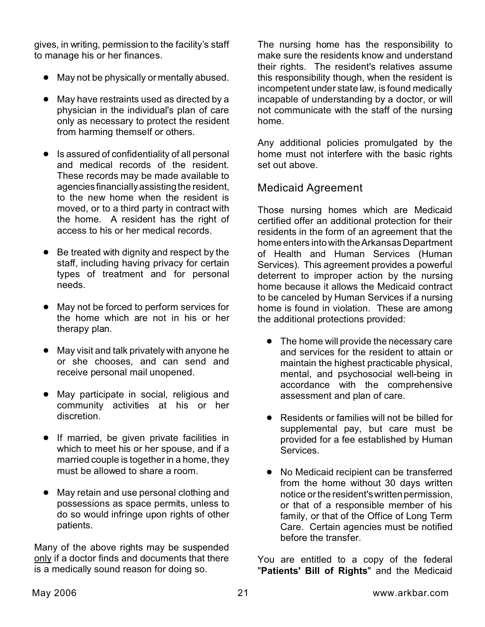gives, in writing, permission to the facility's staff to manage his or her finances.

- May not be physically or mentally abused.
- May have restraints used as directed by a physician in the individual's plan of care only as necessary to protect the resident from harming themself or others.
- **•** Is assured of confidentiality of all personal and medical records of the resident. These records may be made available to agencies financially assisting the resident, to the new home when the resident is moved, or to a third party in contract with the home. A resident has the right of access to his or her medical records.
- Be treated with dignity and respect by the staff, including having privacy for certain types of treatment and for personal needs.
- May not be forced to perform services for the home which are not in his or her therapy plan.
- May visit and talk privately with anyone he or she chooses, and can send and receive personal mail unopened.
- May participate in social, religious and community activities at his or her discretion.
- **•** If married, be given private facilities in which to meet his or her spouse, and if a married couple is together in a home, they must be allowed to share a room.
- May retain and use personal clothing and possessions as space permits, unless to do so would infringe upon rights of other patients.

Many of the above rights may be suspended only if a doctor finds and documents that there is a medically sound reason for doing so.

The nursing home has the responsibility to make sure the residents know and understand their rights. The resident's relatives assume this responsibility though, when the resident is incompetent under state law, is found medically incapable of understanding by a doctor, or will not communicate with the staff of the nursing home.

Any additional policies promulgated by the home must not interfere with the basic rights set out above.

# Medicaid Agreement

Those nursing homes which are Medicaid certified offer an additional protection for their residents in the form of an agreement that the home enters into with the Arkansas Department of Health and Human Services (Human Services). This agreement provides a powerful deterrent to improper action by the nursing home because it allows the Medicaid contract to be canceled by Human Services if a nursing home is found in violation. These are among the additional protections provided:

- The home will provide the necessary care and services for the resident to attain or maintain the highest practicable physical, mental, and psychosocial well-being in accordance with the comprehensive assessment and plan of care.
- Residents or families will not be billed for supplemental pay, but care must be provided for a fee established by Human Services.
- No Medicaid recipient can be transferred from the home without 30 days written notice or the resident's written permission, or that of a responsible member of his family, or that of the Office of Long Term Care. Certain agencies must be notified before the transfer.

You are entitled to a copy of the federal "**Patients' Bill of Rights**" and the Medicaid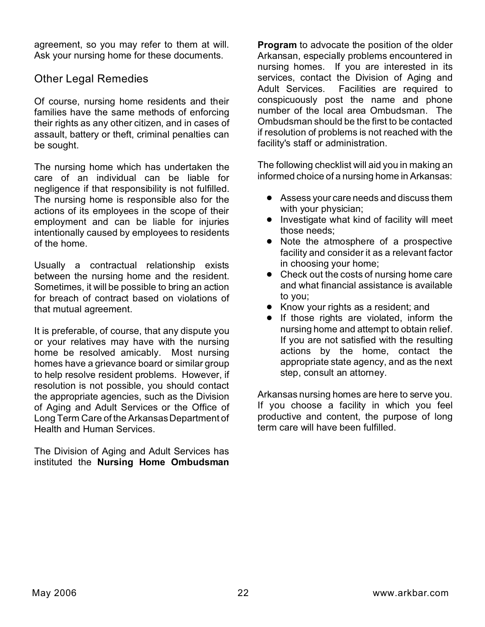agreement, so you may refer to them at will. Ask your nursing home for these documents.

### Other Legal Remedies

Of course, nursing home residents and their families have the same methods of enforcing their rights as any other citizen, and in cases of assault, battery or theft, criminal penalties can be sought.

The nursing home which has undertaken the care of an individual can be liable for negligence if that responsibility is not fulfilled. The nursing home is responsible also for the actions of its employees in the scope of their employment and can be liable for injuries intentionally caused by employees to residents of the home.

Usually a contractual relationship exists between the nursing home and the resident. Sometimes, it will be possible to bring an action for breach of contract based on violations of that mutual agreement.

It is preferable, of course, that any dispute you or your relatives may have with the nursing home be resolved amicably. Most nursing homes have a grievance board or similar group to help resolve resident problems. However, if resolution is not possible, you should contact the appropriate agencies, such as the Division of Aging and Adult Services or the Office of Long Term Care of the Arkansas Department of Health and Human Services.

The Division of Aging and Adult Services has instituted the **Nursing Home Ombudsman** **Program** to advocate the position of the older Arkansan, especially problems encountered in nursing homes. If you are interested in its services, contact the Division of Aging and Adult Services. Facilities are required to conspicuously post the name and phone number of the local area Ombudsman. The Ombudsman should be the first to be contacted if resolution of problems is not reached with the facility's staff or administration.

The following checklist will aid you in making an informed choice of a nursing home in Arkansas:

- Assess your care needs and discuss them with your physician;
- Investigate what kind of facility will meet those needs;
- Note the atmosphere of a prospective facility and consider it as a relevant factor in choosing your home;
- Check out the costs of nursing home care and what financial assistance is available to you;
- Know your rights as a resident; and
- **•** If those rights are violated, inform the nursing home and attempt to obtain relief. If you are not satisfied with the resulting actions by the home, contact the appropriate state agency, and as the next step, consult an attorney.

Arkansas nursing homes are here to serve you. If you choose a facility in which you feel productive and content, the purpose of long term care will have been fulfilled.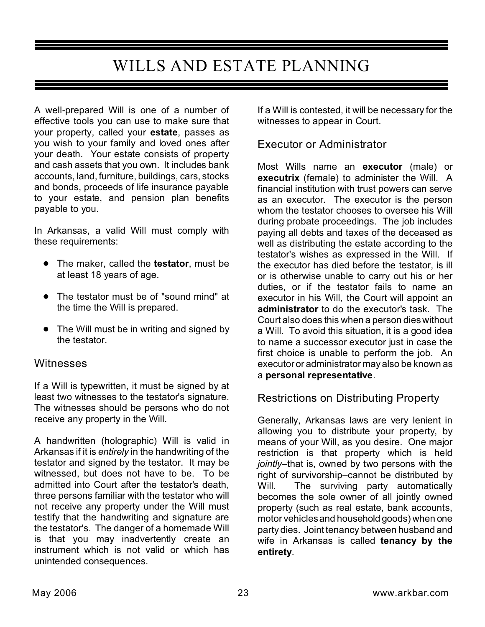# WILLS AND ESTATE PLANNING

A well-prepared Will is one of a number of effective tools you can use to make sure that your property, called your **estate**, passes as you wish to your family and loved ones after your death. Your estate consists of property and cash assets that you own. It includes bank accounts, land, furniture, buildings, cars, stocks and bonds, proceeds of life insurance payable to your estate, and pension plan benefits payable to you.

In Arkansas, a valid Will must comply with these requirements:

- ! The maker, called the **testator**, must be at least 18 years of age.
- The testator must be of "sound mind" at the time the Will is prepared.
- The Will must be in writing and signed by the testator.

# **Witnesses**

If a Will is typewritten, it must be signed by at least two witnesses to the testator's signature. The witnesses should be persons who do not receive any property in the Will.

A handwritten (holographic) Will is valid in Arkansas if it is *entirely* in the handwriting of the testator and signed by the testator. It may be witnessed, but does not have to be. To be admitted into Court after the testator's death, three persons familiar with the testator who will not receive any property under the Will must testify that the handwriting and signature are the testator's. The danger of a homemade Will is that you may inadvertently create an instrument which is not valid or which has unintended consequences.

If a Will is contested, it will be necessary for the witnesses to appear in Court.

# Executor or Administrator

Most Wills name an **executor** (male) or **executrix** (female) to administer the Will. A financial institution with trust powers can serve as an executor. The executor is the person whom the testator chooses to oversee his Will during probate proceedings. The job includes paying all debts and taxes of the deceased as well as distributing the estate according to the testator's wishes as expressed in the Will. If the executor has died before the testator, is ill or is otherwise unable to carry out his or her duties, or if the testator fails to name an executor in his Will, the Court will appoint an **administrator** to do the executor's task. The Court also does this when a person dies without a Will. To avoid this situation, it is a good idea to name a successor executor just in case the first choice is unable to perform the job. An executor or administrator may also be known as a **personal representative**.

# Restrictions on Distributing Property

Generally, Arkansas laws are very lenient in allowing you to distribute your property, by means of your Will, as you desire. One major restriction is that property which is held *jointly*–that is, owned by two persons with the right of survivorship–cannot be distributed by Will. The surviving party automatically becomes the sole owner of all jointly owned property (such as real estate, bank accounts, motor vehicles and household goods) when one party dies. Joint tenancy between husband and wife in Arkansas is called **tenancy by the entirety**.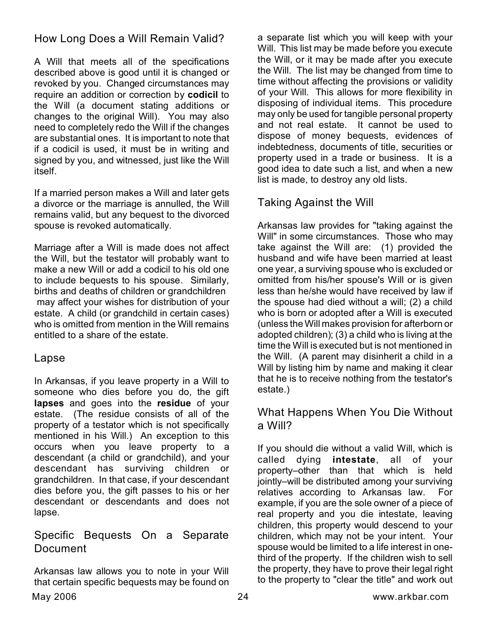How Long Does a Will Remain Valid?

A Will that meets all of the specifications described above is good until it is changed or revoked by you. Changed circumstances may require an addition or correction by **codicil** to the Will (a document stating additions or changes to the original Will). You may also need to completely redo the Will if the changes are substantial ones. It is important to note that if a codicil is used, it must be in writing and signed by you, and witnessed, just like the Will itself.

If a married person makes a Will and later gets a divorce or the marriage is annulled, the Will remains valid, but any bequest to the divorced spouse is revoked automatically.

Marriage after a Will is made does not affect the Will, but the testator will probably want to make a new Will or add a codicil to his old one to include bequests to his spouse. Similarly, births and deaths of children or grandchildren may affect your wishes for distribution of your estate. A child (or grandchild in certain cases) who is omitted from mention in the Will remains entitled to a share of the estate.

# Lapse

In Arkansas, if you leave property in a Will to someone who dies before you do, the gift **lapses** and goes into the **residue** of your estate. (The residue consists of all of the property of a testator which is not specifically mentioned in his Will.) An exception to this occurs when you leave property to a descendant (a child or grandchild), and your descendant has surviving children or grandchildren. In that case, if your descendant dies before you, the gift passes to his or her descendant or descendants and does not lapse.

# Specific Bequests On a Separate Document

Arkansas law allows you to note in your Will that certain specific bequests may be found on

a separate list which you will keep with your Will. This list may be made before you execute the Will, or it may be made after you execute the Will. The list may be changed from time to time without affecting the provisions or validity of your Will. This allows for more flexibility in disposing of individual items. This procedure may only be used for tangible personal property and not real estate. It cannot be used to dispose of money bequests, evidences of indebtedness, documents of title, securities or property used in a trade or business. It is a good idea to date such a list, and when a new list is made, to destroy any old lists.

# Taking Against the Will

Arkansas law provides for "taking against the Will" in some circumstances. Those who may take against the Will are: (1) provided the husband and wife have been married at least one year, a surviving spouse who is excluded or omitted from his/her spouse's Will or is given less than he/she would have received by law if the spouse had died without a will; (2) a child who is born or adopted after a Will is executed (unless the Will makes provision for afterborn or adopted children); (3) a child who is living at the time the Will is executed but is not mentioned in the Will. (A parent may disinherit a child in a Will by listing him by name and making it clear that he is to receive nothing from the testator's estate.)

# What Happens When You Die Without a Will?

If you should die without a valid Will, which is called dying **intestate**, all of your property–other than that which is held jointly–will be distributed among your surviving relatives according to Arkansas law. For example, if you are the sole owner of a piece of real property and you die intestate, leaving children, this property would descend to your children, which may not be your intent. Your spouse would be limited to a life interest in onethird of the property. If the children wish to sell the property, they have to prove their legal right to the property to "clear the title" and work out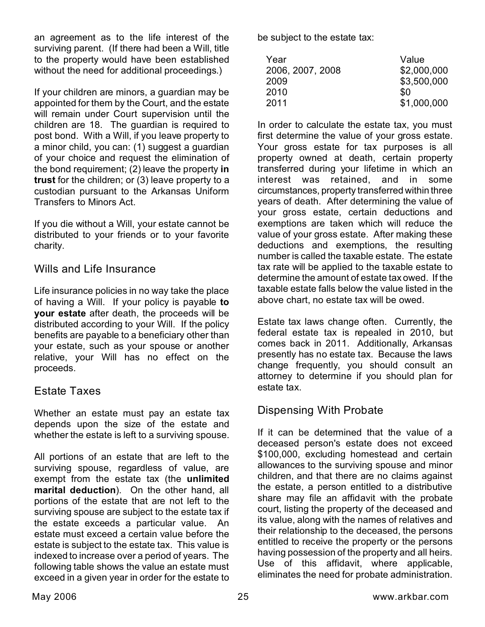an agreement as to the life interest of the surviving parent. (If there had been a Will, title to the property would have been established without the need for additional proceedings.)

If your children are minors, a guardian may be appointed for them by the Court, and the estate will remain under Court supervision until the children are 18. The guardian is required to post bond. With a Will, if you leave property to a minor child, you can: (1) suggest a guardian of your choice and request the elimination of the bond requirement; (2) leave the property **in trust** for the children; or (3) leave property to a custodian pursuant to the Arkansas Uniform Transfers to Minors Act.

If you die without a Will, your estate cannot be distributed to your friends or to your favorite charity.

### Wills and Life Insurance

Life insurance policies in no way take the place of having a Will. If your policy is payable **to your estate** after death, the proceeds will be distributed according to your Will. If the policy benefits are payable to a beneficiary other than your estate, such as your spouse or another relative, your Will has no effect on the proceeds.

### Estate Taxes

Whether an estate must pay an estate tax depends upon the size of the estate and whether the estate is left to a surviving spouse.

All portions of an estate that are left to the surviving spouse, regardless of value, are exempt from the estate tax (the **unlimited marital deduction**). On the other hand, all portions of the estate that are not left to the surviving spouse are subject to the estate tax if the estate exceeds a particular value. An estate must exceed a certain value before the estate is subject to the estate tax. This value is indexed to increase over a period of years. The following table shows the value an estate must exceed in a given year in order for the estate to be subject to the estate tax:

| Year             | Value       |
|------------------|-------------|
| 2006, 2007, 2008 | \$2,000,000 |
| 2009             | \$3,500,000 |
| 2010             | SO.         |
| 2011             | \$1,000,000 |

In order to calculate the estate tax, you must first determine the value of your gross estate. Your gross estate for tax purposes is all property owned at death, certain property transferred during your lifetime in which an interest was retained, and in some circumstances, property transferred within three years of death. After determining the value of your gross estate, certain deductions and exemptions are taken which will reduce the value of your gross estate. After making these deductions and exemptions, the resulting number is called the taxable estate. The estate tax rate will be applied to the taxable estate to determine the amount of estate tax owed. If the taxable estate falls below the value listed in the above chart, no estate tax will be owed.

Estate tax laws change often. Currently, the federal estate tax is repealed in 2010, but comes back in 2011. Additionally, Arkansas presently has no estate tax. Because the laws change frequently, you should consult an attorney to determine if you should plan for estate tax.

# Dispensing With Probate

If it can be determined that the value of a deceased person's estate does not exceed \$100,000, excluding homestead and certain allowances to the surviving spouse and minor children, and that there are no claims against the estate, a person entitled to a distributive share may file an affidavit with the probate court, listing the property of the deceased and its value, along with the names of relatives and their relationship to the deceased, the persons entitled to receive the property or the persons having possession of the property and all heirs. Use of this affidavit, where applicable, eliminates the need for probate administration.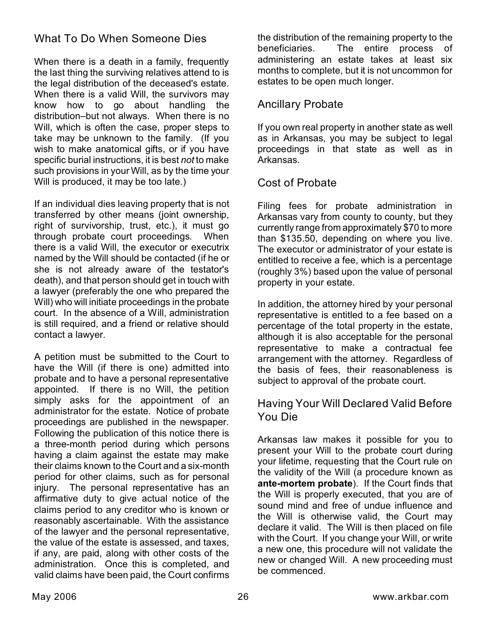# What To Do When Someone Dies

When there is a death in a family, frequently the last thing the surviving relatives attend to is the legal distribution of the deceased's estate. When there is a valid Will, the survivors may know how to go about handling the distribution–but not always. When there is no Will, which is often the case, proper steps to take may be unknown to the family. (If you wish to make anatomical gifts, or if you have specific burial instructions, it is best *not* to make such provisions in your Will, as by the time your Will is produced, it may be too late.)

If an individual dies leaving property that is not transferred by other means (joint ownership, right of survivorship, trust, etc.), it must go through probate court proceedings. When there is a valid Will, the executor or executrix named by the Will should be contacted (if he or she is not already aware of the testator's death), and that person should get in touch with a lawyer (preferably the one who prepared the Will) who will initiate proceedings in the probate court. In the absence of a Will, administration is still required, and a friend or relative should contact a lawyer.

A petition must be submitted to the Court to have the Will (if there is one) admitted into probate and to have a personal representative appointed. If there is no Will, the petition simply asks for the appointment of an administrator for the estate. Notice of probate proceedings are published in the newspaper. Following the publication of this notice there is a three-month period during which persons having a claim against the estate may make their claims known to the Court and a six-month period for other claims, such as for personal injury. The personal representative has an affirmative duty to give actual notice of the claims period to any creditor who is known or reasonably ascertainable. With the assistance of the lawyer and the personal representative, the value of the estate is assessed, and taxes, if any, are paid, along with other costs of the administration. Once this is completed, and valid claims have been paid, the Court confirms the distribution of the remaining property to the beneficiaries. The entire process of administering an estate takes at least six months to complete, but it is not uncommon for estates to be open much longer.

### Ancillary Probate

If you own real property in another state as well as in Arkansas, you may be subject to legal proceedings in that state as well as in Arkansas.

### Cost of Probate

Filing fees for probate administration in Arkansas vary from county to county, but they currently range from approximately \$70 to more than \$135.50, depending on where you live. The executor or administrator of your estate is entitled to receive a fee, which is a percentage (roughly 3%) based upon the value of personal property in your estate.

In addition, the attorney hired by your personal representative is entitled to a fee based on a percentage of the total property in the estate, although it is also acceptable for the personal representative to make a contractual fee arrangement with the attorney. Regardless of the basis of fees, their reasonableness is subject to approval of the probate court.

### Having Your Will Declared Valid Before You Die

Arkansas law makes it possible for you to present your Will to the probate court during your lifetime, requesting that the Court rule on the validity of the Will (a procedure known as **ante-mortem probate**). If the Court finds that the Will is properly executed, that you are of sound mind and free of undue influence and the Will is otherwise valid, the Court may declare it valid. The Will is then placed on file with the Court. If you change your Will, or write a new one, this procedure will not validate the new or changed Will. A new proceeding must be commenced.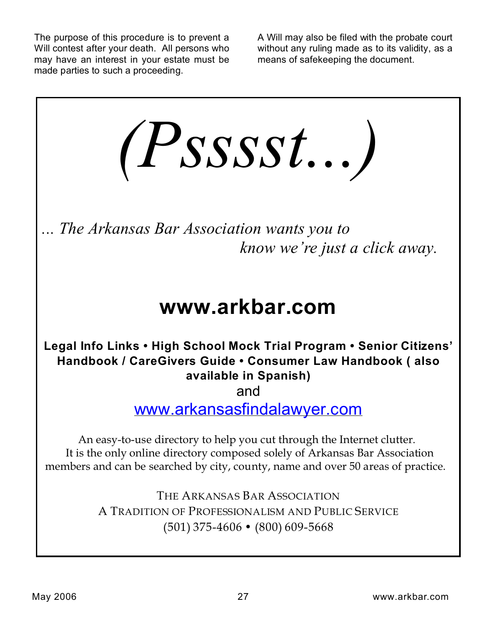The purpose of this procedure is to prevent a Will contest after your death. All persons who may have an interest in your estate must be made parties to such a proceeding.

A Will may also be filed with the probate court without any ruling made as to its validity, as a means of safekeeping the document.



THE ARKANSAS BAR ASSOCIATION A TRADITION OF PROFESSIONALISM AND PUBLIC SERVICE (501) 375-4606 • (800) 609-5668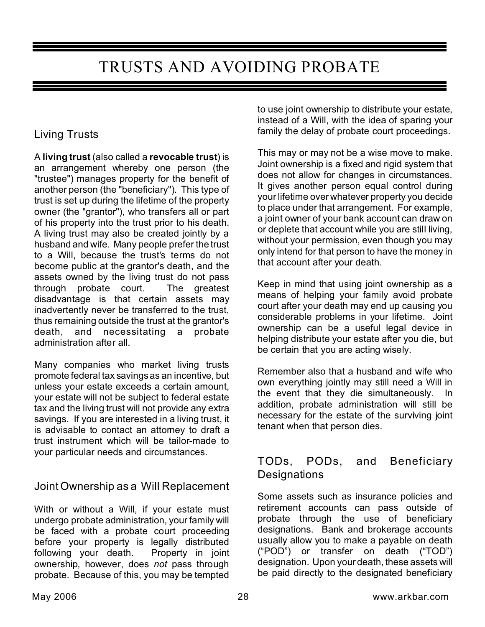# TRUSTS AND AVOIDING PROBATE

# Living Trusts

A **living trust** (also called a **revocable trust**) is an arrangement whereby one person (the "trustee") manages property for the benefit of another person (the "beneficiary"). This type of trust is set up during the lifetime of the property owner (the "grantor"), who transfers all or part of his property into the trust prior to his death. A living trust may also be created jointly by a husband and wife. Many people prefer the trust to a Will, because the trust's terms do not become public at the grantor's death, and the assets owned by the living trust do not pass through probate court. The greatest disadvantage is that certain assets may inadvertently never be transferred to the trust, thus remaining outside the trust at the grantor's death, and necessitating a probate administration after all.

Many companies who market living trusts promote federal tax savings as an incentive, but unless your estate exceeds a certain amount, your estate will not be subject to federal estate tax and the living trust will not provide any extra savings. If you are interested in a living trust, it is advisable to contact an attorney to draft a trust instrument which will be tailor-made to your particular needs and circumstances.

# Joint Ownership as a Will Replacement

With or without a Will, if your estate must undergo probate administration, your family will be faced with a probate court proceeding before your property is legally distributed following your death. Property in joint ownership, however, does *not* pass through probate. Because of this, you may be tempted to use joint ownership to distribute your estate, instead of a Will, with the idea of sparing your family the delay of probate court proceedings.

This may or may not be a wise move to make. Joint ownership is a fixed and rigid system that does not allow for changes in circumstances. It gives another person equal control during your lifetime over whatever property you decide to place under that arrangement. For example, a joint owner of your bank account can draw on or deplete that account while you are still living, without your permission, even though you may only intend for that person to have the money in that account after your death.

Keep in mind that using joint ownership as a means of helping your family avoid probate court after your death may end up causing you considerable problems in your lifetime. Joint ownership can be a useful legal device in helping distribute your estate after you die, but be certain that you are acting wisely.

Remember also that a husband and wife who own everything jointly may still need a Will in the event that they die simultaneously. In addition, probate administration will still be necessary for the estate of the surviving joint tenant when that person dies.

# TODs, PODs, and Beneficiary **Designations**

Some assets such as insurance policies and retirement accounts can pass outside of probate through the use of beneficiary designations. Bank and brokerage accounts usually allow you to make a payable on death ("POD") or transfer on death ("TOD") designation. Upon your death, these assets will be paid directly to the designated beneficiary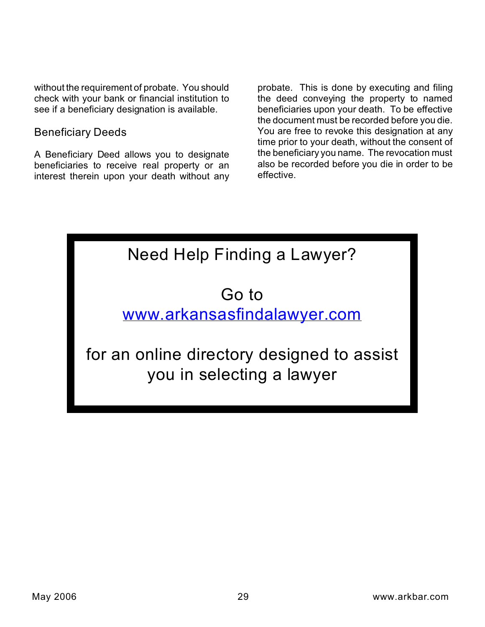without the requirement of probate. You should check with your bank or financial institution to see if a beneficiary designation is available.

### Beneficiary Deeds

A Beneficiary Deed allows you to designate beneficiaries to receive real property or an interest therein upon your death without any

probate. This is done by executing and filing the deed conveying the property to named beneficiaries upon your death. To be effective the document must be recorded before you die. You are free to revoke this designation at any time prior to your death, without the consent of the beneficiary you name. The revocation must also be recorded before you die in order to be effective.

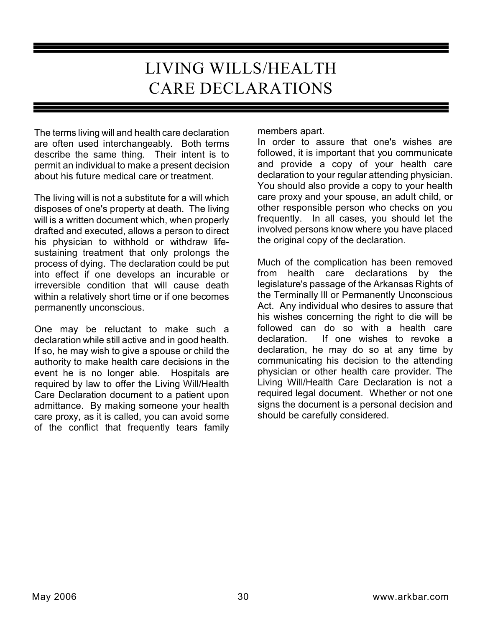# LIVING WILLS/HEALTH CARE DECLARATIONS

The terms living will and health care declaration are often used interchangeably. Both terms describe the same thing. Their intent is to permit an individual to make a present decision about his future medical care or treatment.

The living will is not a substitute for a will which disposes of one's property at death. The living will is a written document which, when properly drafted and executed, allows a person to direct his physician to withhold or withdraw lifesustaining treatment that only prolongs the process of dying. The declaration could be put into effect if one develops an incurable or irreversible condition that will cause death within a relatively short time or if one becomes permanently unconscious.

One may be reluctant to make such a declaration while still active and in good health. If so, he may wish to give a spouse or child the authority to make health care decisions in the event he is no longer able. Hospitals are required by law to offer the Living Will/Health Care Declaration document to a patient upon admittance. By making someone your health care proxy, as it is called, you can avoid some of the conflict that frequently tears family

members apart.

In order to assure that one's wishes are followed, it is important that you communicate and provide a copy of your health care declaration to your regular attending physician. You should also provide a copy to your health care proxy and your spouse, an adult child, or other responsible person who checks on you frequently. In all cases, you should let the involved persons know where you have placed the original copy of the declaration.

Much of the complication has been removed from health care declarations by the legislature's passage of the Arkansas Rights of the Terminally Ill or Permanently Unconscious Act. Any individual who desires to assure that his wishes concerning the right to die will be followed can do so with a health care declaration. If one wishes to revoke a declaration, he may do so at any time by communicating his decision to the attending physician or other health care provider. The Living Will/Health Care Declaration is not a required legal document. Whether or not one signs the document is a personal decision and should be carefully considered.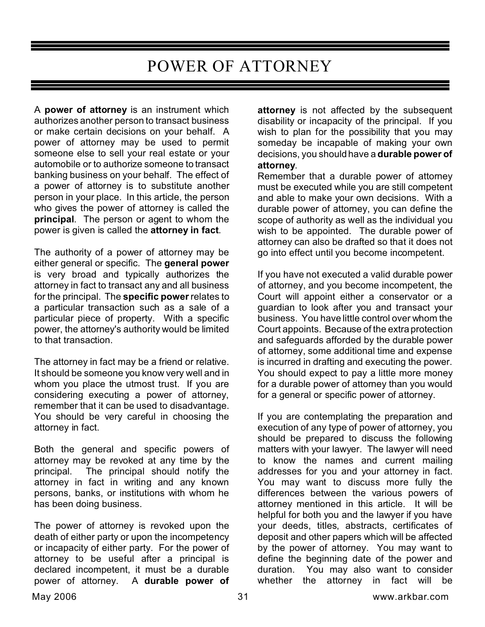# POWER OF ATTORNEY

A **power of attorney** is an instrument which authorizes another person to transact business or make certain decisions on your behalf. A power of attorney may be used to permit someone else to sell your real estate or your automobile or to authorize someone to transact banking business on your behalf. The effect of a power of attorney is to substitute another person in your place. In this article, the person who gives the power of attorney is called the **principal**. The person or agent to whom the power is given is called the **attorney in fact**.

The authority of a power of attorney may be either general or specific. The **general power** is very broad and typically authorizes the attorney in fact to transact any and all business for the principal. The **specific power** relates to a particular transaction such as a sale of a particular piece of property. With a specific power, the attorney's authority would be limited to that transaction.

The attorney in fact may be a friend or relative. It should be someone you know very well and in whom you place the utmost trust. If you are considering executing a power of attorney, remember that it can be used to disadvantage. You should be very careful in choosing the attorney in fact.

Both the general and specific powers of attorney may be revoked at any time by the principal. The principal should notify the attorney in fact in writing and any known persons, banks, or institutions with whom he has been doing business.

The power of attorney is revoked upon the death of either party or upon the incompetency or incapacity of either party. For the power of attorney to be useful after a principal is declared incompetent, it must be a durable power of attorney. A **durable power of**

**attorney** is not affected by the subsequent disability or incapacity of the principal. If you wish to plan for the possibility that you may someday be incapable of making your own decisions, you should have a **durable power of attorney**.

Remember that a durable power of attorney must be executed while you are still competent and able to make your own decisions. With a durable power of attorney, you can define the scope of authority as well as the individual you wish to be appointed. The durable power of attorney can also be drafted so that it does not go into effect until you become incompetent.

If you have not executed a valid durable power of attorney, and you become incompetent, the Court will appoint either a conservator or a guardian to look after you and transact your business. You have little control over whom the Court appoints. Because of the extra protection and safeguards afforded by the durable power of attorney, some additional time and expense is incurred in drafting and executing the power. You should expect to pay a little more money for a durable power of attorney than you would for a general or specific power of attorney.

If you are contemplating the preparation and execution of any type of power of attorney, you should be prepared to discuss the following matters with your lawyer. The lawyer will need to know the names and current mailing addresses for you and your attorney in fact. You may want to discuss more fully the differences between the various powers of attorney mentioned in this article. It will be helpful for both you and the lawyer if you have your deeds, titles, abstracts, certificates of deposit and other papers which will be affected by the power of attorney. You may want to define the beginning date of the power and duration. You may also want to consider whether the attorney in fact will be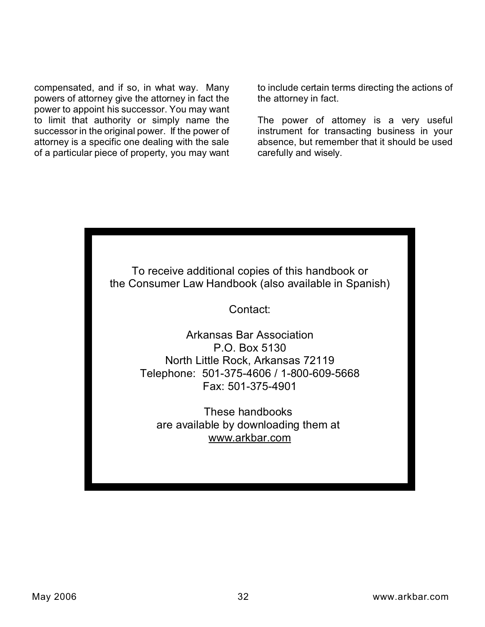compensated, and if so, in what way. Many powers of attorney give the attorney in fact the power to appoint his successor. You may want to limit that authority or simply name the successor in the original power. If the power of attorney is a specific one dealing with the sale of a particular piece of property, you may want to include certain terms directing the actions of the attorney in fact.

The power of attorney is a very useful instrument for transacting business in your absence, but remember that it should be used carefully and wisely.

To receive additional copies of this handbook or the Consumer Law Handbook (also available in Spanish)

Contact:

Arkansas Bar Association P.O. Box 5130 North Little Rock, Arkansas 72119 Telephone: 501-375-4606 / 1-800-609-5668 Fax: 501-375-4901

These handbooks are available by downloading them at www.arkbar.com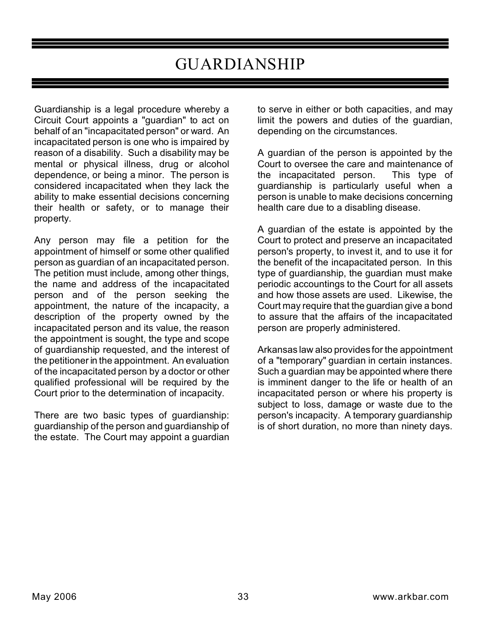# GUARDIANSHIP

Guardianship is a legal procedure whereby a Circuit Court appoints a "guardian" to act on behalf of an "incapacitated person" or ward. An incapacitated person is one who is impaired by reason of a disability. Such a disability may be mental or physical illness, drug or alcohol dependence, or being a minor. The person is considered incapacitated when they lack the ability to make essential decisions concerning their health or safety, or to manage their property.

Any person may file a petition for the appointment of himself or some other qualified person as guardian of an incapacitated person. The petition must include, among other things, the name and address of the incapacitated person and of the person seeking the appointment, the nature of the incapacity, a description of the property owned by the incapacitated person and its value, the reason the appointment is sought, the type and scope of guardianship requested, and the interest of the petitioner in the appointment. An evaluation of the incapacitated person by a doctor or other qualified professional will be required by the Court prior to the determination of incapacity.

There are two basic types of guardianship: guardianship of the person and guardianship of the estate. The Court may appoint a guardian to serve in either or both capacities, and may limit the powers and duties of the guardian, depending on the circumstances.

A guardian of the person is appointed by the Court to oversee the care and maintenance of the incapacitated person. This type of guardianship is particularly useful when a person is unable to make decisions concerning health care due to a disabling disease.

A guardian of the estate is appointed by the Court to protect and preserve an incapacitated person's property, to invest it, and to use it for the benefit of the incapacitated person. In this type of guardianship, the guardian must make periodic accountings to the Court for all assets and how those assets are used. Likewise, the Court may require that the guardian give a bond to assure that the affairs of the incapacitated person are properly administered.

Arkansas law also provides for the appointment of a "temporary" guardian in certain instances. Such a guardian may be appointed where there is imminent danger to the life or health of an incapacitated person or where his property is subject to loss, damage or waste due to the person's incapacity. A temporary guardianship is of short duration, no more than ninety days.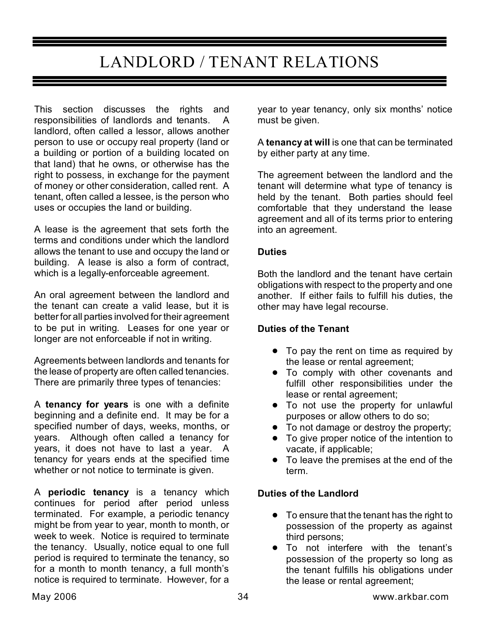# LANDLORD / TENANT RELATIONS

This section discusses the rights and responsibilities of landlords and tenants. A landlord, often called a lessor, allows another person to use or occupy real property (land or a building or portion of a building located on that land) that he owns, or otherwise has the right to possess, in exchange for the payment of money or other consideration, called rent. A tenant, often called a lessee, is the person who uses or occupies the land or building.

A lease is the agreement that sets forth the terms and conditions under which the landlord allows the tenant to use and occupy the land or building. A lease is also a form of contract, which is a legally-enforceable agreement.

An oral agreement between the landlord and the tenant can create a valid lease, but it is better for all parties involved for their agreement to be put in writing. Leases for one year or longer are not enforceable if not in writing.

Agreements between landlords and tenants for the lease of property are often called tenancies. There are primarily three types of tenancies:

A **tenancy for years** is one with a definite beginning and a definite end. It may be for a specified number of days, weeks, months, or years. Although often called a tenancy for years, it does not have to last a year. A tenancy for years ends at the specified time whether or not notice to terminate is given.

A **periodic tenancy** is a tenancy which continues for period after period unless terminated. For example, a periodic tenancy might be from year to year, month to month, or week to week. Notice is required to terminate the tenancy. Usually, notice equal to one full period is required to terminate the tenancy, so for a month to month tenancy, a full month's notice is required to terminate. However, for a year to year tenancy, only six months' notice must be given.

A **tenancy at will** is one that can be terminated by either party at any time.

The agreement between the landlord and the tenant will determine what type of tenancy is held by the tenant. Both parties should feel comfortable that they understand the lease agreement and all of its terms prior to entering into an agreement.

### **Duties**

Both the landlord and the tenant have certain obligations with respect to the property and one another. If either fails to fulfill his duties, the other may have legal recourse.

### **Duties of the Tenant**

- To pay the rent on time as required by the lease or rental agreement;
- To comply with other covenants and fulfill other responsibilities under the lease or rental agreement;
- **•** To not use the property for unlawful purposes or allow others to do so;
- ! To not damage or destroy the property;
- To give proper notice of the intention to vacate, if applicable;
- To leave the premises at the end of the term.

### **Duties of the Landlord**

- To ensure that the tenant has the right to possession of the property as against third persons;
- ! To not interfere with the tenant's possession of the property so long as the tenant fulfills his obligations under the lease or rental agreement;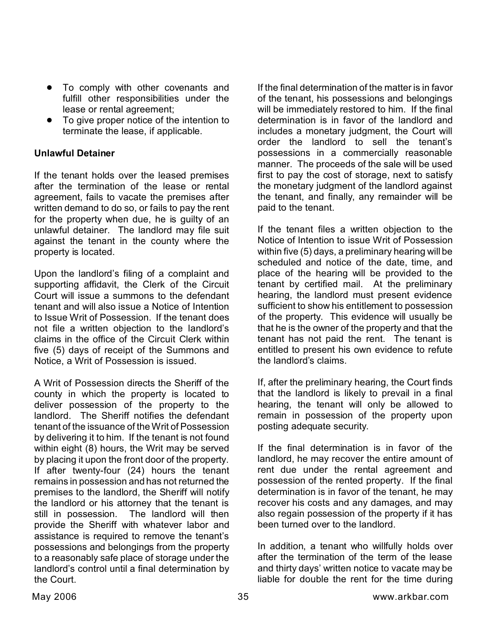- To comply with other covenants and fulfill other responsibilities under the lease or rental agreement;
- To give proper notice of the intention to terminate the lease, if applicable.

### **Unlawful Detainer**

If the tenant holds over the leased premises after the termination of the lease or rental agreement, fails to vacate the premises after written demand to do so, or fails to pay the rent for the property when due, he is guilty of an unlawful detainer. The landlord may file suit against the tenant in the county where the property is located.

Upon the landlord's filing of a complaint and supporting affidavit, the Clerk of the Circuit Court will issue a summons to the defendant tenant and will also issue a Notice of Intention to Issue Writ of Possession. If the tenant does not file a written objection to the landlord's claims in the office of the Circuit Clerk within five (5) days of receipt of the Summons and Notice, a Writ of Possession is issued.

A Writ of Possession directs the Sheriff of the county in which the property is located to deliver possession of the property to the landlord. The Sheriff notifies the defendant tenant of the issuance of the Writ of Possession by delivering it to him. If the tenant is not found within eight (8) hours, the Writ may be served by placing it upon the front door of the property. If after twenty-four (24) hours the tenant remains in possession and has not returned the premises to the landlord, the Sheriff will notify the landlord or his attorney that the tenant is still in possession. The landlord will then provide the Sheriff with whatever labor and assistance is required to remove the tenant's possessions and belongings from the property to a reasonably safe place of storage under the landlord's control until a final determination by the Court.

If the final determination of the matter is in favor of the tenant, his possessions and belongings will be immediately restored to him. If the final determination is in favor of the landlord and includes a monetary judgment, the Court will order the landlord to sell the tenant's possessions in a commercially reasonable manner. The proceeds of the sale will be used first to pay the cost of storage, next to satisfy the monetary judgment of the landlord against the tenant, and finally, any remainder will be paid to the tenant.

If the tenant files a written objection to the Notice of Intention to issue Writ of Possession within five (5) days, a preliminary hearing will be scheduled and notice of the date, time, and place of the hearing will be provided to the tenant by certified mail. At the preliminary hearing, the landlord must present evidence sufficient to show his entitlement to possession of the property. This evidence will usually be that he is the owner of the property and that the tenant has not paid the rent. The tenant is entitled to present his own evidence to refute the landlord's claims.

If, after the preliminary hearing, the Court finds that the landlord is likely to prevail in a final hearing, the tenant will only be allowed to remain in possession of the property upon posting adequate security.

If the final determination is in favor of the landlord, he may recover the entire amount of rent due under the rental agreement and possession of the rented property. If the final determination is in favor of the tenant, he may recover his costs and any damages, and may also regain possession of the property if it has been turned over to the landlord.

In addition, a tenant who willfully holds over after the termination of the term of the lease and thirty days' written notice to vacate may be liable for double the rent for the time during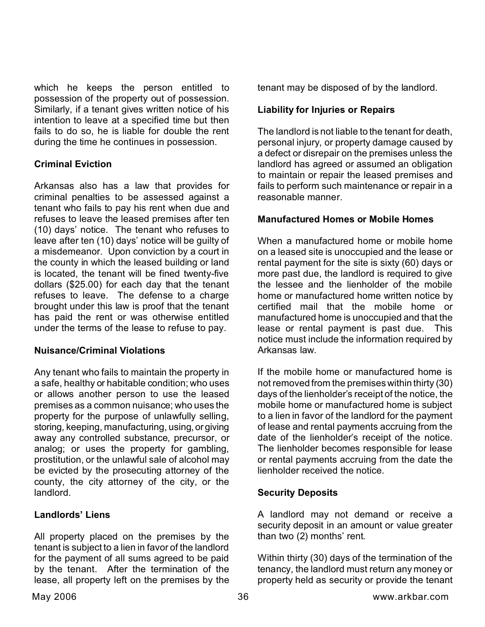which he keeps the person entitled to possession of the property out of possession. Similarly, if a tenant gives written notice of his intention to leave at a specified time but then fails to do so, he is liable for double the rent during the time he continues in possession.

### **Criminal Eviction**

Arkansas also has a law that provides for criminal penalties to be assessed against a tenant who fails to pay his rent when due and refuses to leave the leased premises after ten (10) days' notice. The tenant who refuses to leave after ten (10) days' notice will be guilty of a misdemeanor. Upon conviction by a court in the county in which the leased building or land is located, the tenant will be fined twenty-five dollars (\$25.00) for each day that the tenant refuses to leave. The defense to a charge brought under this law is proof that the tenant has paid the rent or was otherwise entitled under the terms of the lease to refuse to pay.

### **Nuisance/Criminal Violations**

Any tenant who fails to maintain the property in a safe, healthy or habitable condition; who uses or allows another person to use the leased premises as a common nuisance; who uses the property for the purpose of unlawfully selling, storing, keeping, manufacturing, using, or giving away any controlled substance, precursor, or analog; or uses the property for gambling, prostitution, or the unlawful sale of alcohol may be evicted by the prosecuting attorney of the county, the city attorney of the city, or the landlord.

### **Landlords' Liens**

All property placed on the premises by the tenant is subject to a lien in favor of the landlord for the payment of all sums agreed to be paid by the tenant. After the termination of the lease, all property left on the premises by the tenant may be disposed of by the landlord.

### **Liability for Injuries or Repairs**

The landlord is not liable to the tenant for death, personal injury, or property damage caused by a defect or disrepair on the premises unless the landlord has agreed or assumed an obligation to maintain or repair the leased premises and fails to perform such maintenance or repair in a reasonable manner.

### **Manufactured Homes or Mobile Homes**

When a manufactured home or mobile home on a leased site is unoccupied and the lease or rental payment for the site is sixty (60) days or more past due, the landlord is required to give the lessee and the lienholder of the mobile home or manufactured home written notice by certified mail that the mobile home or manufactured home is unoccupied and that the lease or rental payment is past due. This notice must include the information required by Arkansas law.

If the mobile home or manufactured home is not removed from the premises within thirty (30) days of the lienholder's receipt of the notice, the mobile home or manufactured home is subject to a lien in favor of the landlord for the payment of lease and rental payments accruing from the date of the lienholder's receipt of the notice. The lienholder becomes responsible for lease or rental payments accruing from the date the lienholder received the notice.

### **Security Deposits**

A landlord may not demand or receive a security deposit in an amount or value greater than two (2) months' rent.

Within thirty (30) days of the termination of the tenancy, the landlord must return any money or property held as security or provide the tenant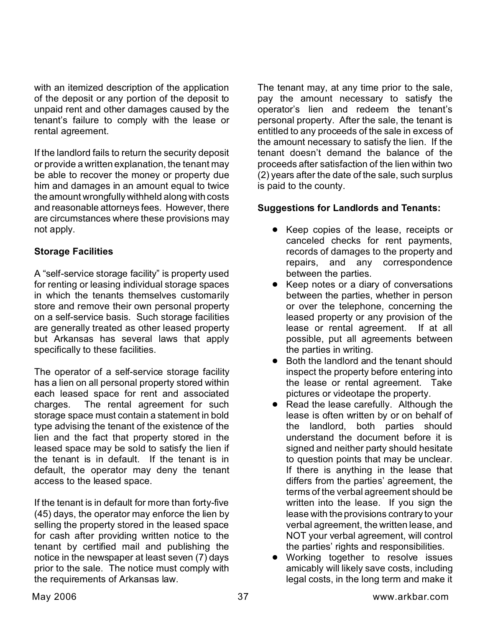with an itemized description of the application of the deposit or any portion of the deposit to unpaid rent and other damages caused by the tenant's failure to comply with the lease or rental agreement.

If the landlord fails to return the security deposit or provide a written explanation, the tenant may be able to recover the money or property due him and damages in an amount equal to twice the amount wrongfully withheld along with costs and reasonable attorneys fees. However, there are circumstances where these provisions may not apply.

### **Storage Facilities**

A "self-service storage facility" is property used for renting or leasing individual storage spaces in which the tenants themselves customarily store and remove their own personal property on a self-service basis. Such storage facilities are generally treated as other leased property but Arkansas has several laws that apply specifically to these facilities.

The operator of a self-service storage facility has a lien on all personal property stored within each leased space for rent and associated charges. The rental agreement for such storage space must contain a statement in bold type advising the tenant of the existence of the lien and the fact that property stored in the leased space may be sold to satisfy the lien if the tenant is in default. If the tenant is in default, the operator may deny the tenant access to the leased space.

If the tenant is in default for more than forty-five (45) days, the operator may enforce the lien by selling the property stored in the leased space for cash after providing written notice to the tenant by certified mail and publishing the notice in the newspaper at least seven (7) days prior to the sale. The notice must comply with the requirements of Arkansas law.

The tenant may, at any time prior to the sale, pay the amount necessary to satisfy the operator's lien and redeem the tenant's personal property. After the sale, the tenant is entitled to any proceeds of the sale in excess of the amount necessary to satisfy the lien. If the tenant doesn't demand the balance of the proceeds after satisfaction of the lien within two (2) years after the date of the sale, such surplus is paid to the county.

### **Suggestions for Landlords and Tenants:**

- **•** Keep copies of the lease, receipts or canceled checks for rent payments, records of damages to the property and repairs, and any correspondence between the parties.
- Keep notes or a diary of conversations between the parties, whether in person or over the telephone, concerning the leased property or any provision of the lease or rental agreement. If at all possible, put all agreements between the parties in writing.
- ! Both the landlord and the tenant should inspect the property before entering into the lease or rental agreement. Take pictures or videotape the property.
- Read the lease carefully. Although the lease is often written by or on behalf of the landlord, both parties should understand the document before it is signed and neither party should hesitate to question points that may be unclear. If there is anything in the lease that differs from the parties' agreement, the terms of the verbal agreement should be written into the lease. If you sign the lease with the provisions contrary to your verbal agreement, the written lease, and NOT your verbal agreement, will control the parties' rights and responsibilities.
- **•** Working together to resolve issues amicably will likely save costs, including legal costs, in the long term and make it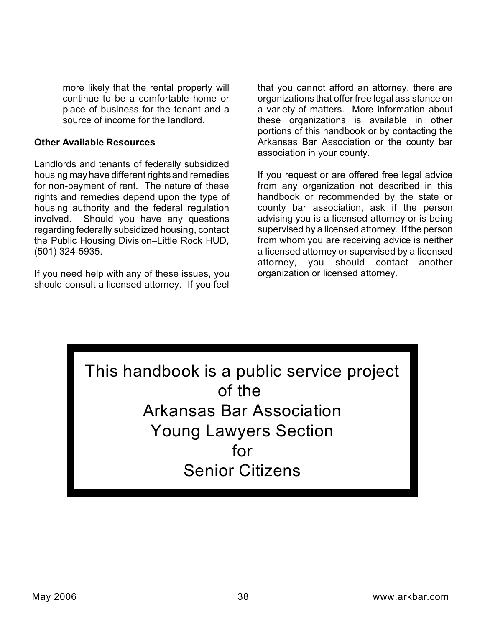more likely that the rental property will continue to be a comfortable home or place of business for the tenant and a source of income for the landlord.

### **Other Available Resources**

Landlords and tenants of federally subsidized housing may have different rights and remedies for non-payment of rent. The nature of these rights and remedies depend upon the type of housing authority and the federal regulation involved. Should you have any questions regarding federally subsidized housing, contact the Public Housing Division–Little Rock HUD, (501) 324-5935.

If you need help with any of these issues, you should consult a licensed attorney. If you feel

that you cannot afford an attorney, there are organizations that offer free legal assistance on a variety of matters. More information about these organizations is available in other portions of this handbook or by contacting the Arkansas Bar Association or the county bar association in your county.

If you request or are offered free legal advice from any organization not described in this handbook or recommended by the state or county bar association, ask if the person advising you is a licensed attorney or is being supervised by a licensed attorney. If the person from whom you are receiving advice is neither a licensed attorney or supervised by a licensed attorney, you should contact another organization or licensed attorney.

This handbook is a public service project of the Arkansas Bar Association Young Lawyers Section for Senior Citizens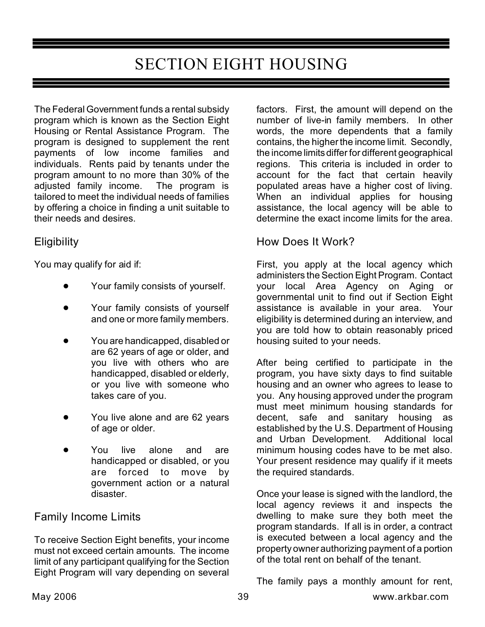# SECTION EIGHT HOUSING

The Federal Government funds a rental subsidy program which is known as the Section Eight Housing or Rental Assistance Program. The program is designed to supplement the rent payments of low income families and individuals. Rents paid by tenants under the program amount to no more than 30% of the adjusted family income. The program is tailored to meet the individual needs of families by offering a choice in finding a unit suitable to their needs and desires.

### **Eligibility**

You may qualify for aid if:

- Your family consists of yourself.
- Your family consists of yourself and one or more family members.
- ! You are handicapped, disabled or are 62 years of age or older, and you live with others who are handicapped, disabled or elderly, or you live with someone who takes care of you.
- You live alone and are 62 years of age or older.
- You live alone and are handicapped or disabled, or you are forced to move by government action or a natural disaster.

# Family Income Limits

To receive Section Eight benefits, your income must not exceed certain amounts. The income limit of any participant qualifying for the Section Eight Program will vary depending on several factors. First, the amount will depend on the number of live-in family members. In other words, the more dependents that a family contains, the higher the income limit. Secondly, the income limits differ for different geographical regions. This criteria is included in order to account for the fact that certain heavily populated areas have a higher cost of living. When an individual applies for housing assistance, the local agency will be able to determine the exact income limits for the area.

### How Does It Work?

First, you apply at the local agency which administers the Section Eight Program. Contact your local Area Agency on Aging or governmental unit to find out if Section Eight assistance is available in your area. Your eligibility is determined during an interview, and you are told how to obtain reasonably priced housing suited to your needs.

After being certified to participate in the program, you have sixty days to find suitable housing and an owner who agrees to lease to you. Any housing approved under the program must meet minimum housing standards for decent, safe and sanitary housing as established by the U.S. Department of Housing and Urban Development. Additional local minimum housing codes have to be met also. Your present residence may qualify if it meets the required standards.

Once your lease is signed with the landlord, the local agency reviews it and inspects the dwelling to make sure they both meet the program standards. If all is in order, a contract is executed between a local agency and the property owner authorizing payment of a portion of the total rent on behalf of the tenant.

The family pays a monthly amount for rent,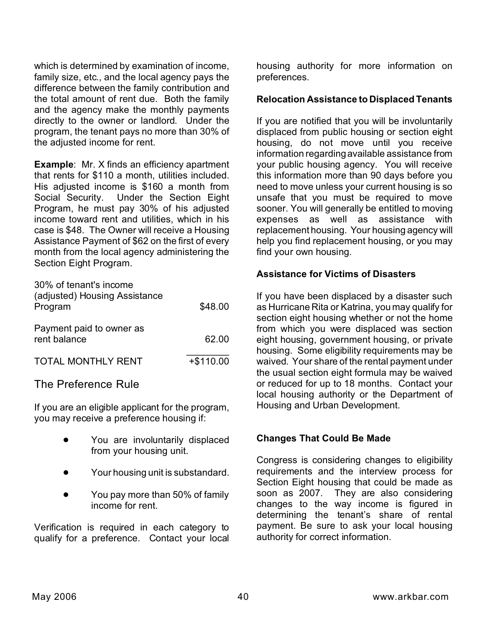which is determined by examination of income, family size, etc., and the local agency pays the difference between the family contribution and the total amount of rent due. Both the family and the agency make the monthly payments directly to the owner or landlord. Under the program, the tenant pays no more than 30% of the adjusted income for rent.

**Example:** Mr. X finds an efficiency apartment that rents for \$110 a month, utilities included. His adjusted income is \$160 a month from Social Security. Under the Section Eight Program, he must pay 30% of his adjusted income toward rent and utilities, which in his case is \$48. The Owner will receive a Housing Assistance Payment of \$62 on the first of every month from the local agency administering the Section Eight Program.

| 30% of tenant's income<br>(adjusted) Housing Assistance<br>Program | \$48.00     |
|--------------------------------------------------------------------|-------------|
| Payment paid to owner as<br>rent balance                           | 62.00       |
| <b>TOTAL MONTHLY RENT</b>                                          | $+ $110.00$ |

# The Preference Rule

If you are an eligible applicant for the program, you may receive a preference housing if:

- You are involuntarily displaced from your housing unit.
- Your housing unit is substandard.
- You pay more than 50% of family income for rent.

Verification is required in each category to qualify for a preference. Contact your local housing authority for more information on preferences.

### **Relocation Assistance to Displaced Tenants**

If you are notified that you will be involuntarily displaced from public housing or section eight housing, do not move until you receive information regarding available assistance from your public housing agency. You will receive this information more than 90 days before you need to move unless your current housing is so unsafe that you must be required to move sooner. You will generally be entitled to moving expenses as well as assistance with replacement housing. Your housing agency will help you find replacement housing, or you may find your own housing.

### **Assistance for Victims of Disasters**

If you have been displaced by a disaster such as Hurricane Rita or Katrina, you may qualify for section eight housing whether or not the home from which you were displaced was section eight housing, government housing, or private housing. Some eligibility requirements may be waived. Your share of the rental payment under the usual section eight formula may be waived or reduced for up to 18 months. Contact your local housing authority or the Department of Housing and Urban Development.

### **Changes That Could Be Made**

Congress is considering changes to eligibility requirements and the interview process for Section Eight housing that could be made as soon as 2007. They are also considering changes to the way income is figured in determining the tenant's share of rental payment. Be sure to ask your local housing authority for correct information.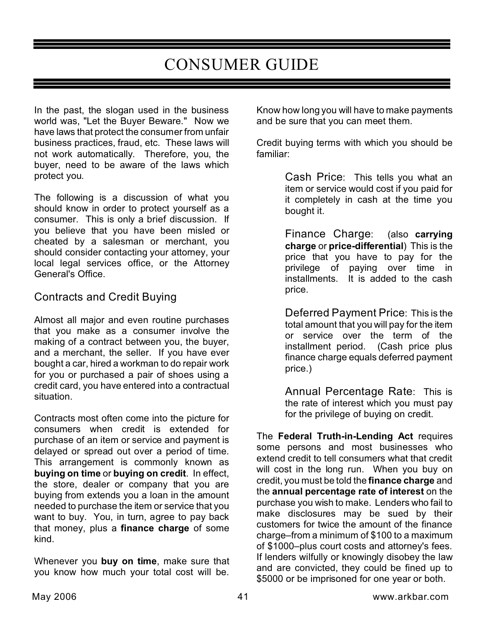# CONSUMER GUIDE

In the past, the slogan used in the business world was, "Let the Buyer Beware." Now we have laws that protect the consumer from unfair business practices, fraud, etc. These laws will not work automatically. Therefore, you, the buyer, need to be aware of the laws which protect you.

The following is a discussion of what you should know in order to protect yourself as a consumer. This is only a brief discussion. If you believe that you have been misled or cheated by a salesman or merchant, you should consider contacting your attorney, your local legal services office, or the Attorney General's Office.

# Contracts and Credit Buying

Almost all major and even routine purchases that you make as a consumer involve the making of a contract between you, the buyer, and a merchant, the seller. If you have ever bought a car, hired a workman to do repair work for you or purchased a pair of shoes using a credit card, you have entered into a contractual situation.

Contracts most often come into the picture for consumers when credit is extended for purchase of an item or service and payment is delayed or spread out over a period of time. This arrangement is commonly known as **buying on time** or **buying on credit**. In effect, the store, dealer or company that you are buying from extends you a loan in the amount needed to purchase the item or service that you want to buy. You, in turn, agree to pay back that money, plus a **finance charge** of some kind.

Whenever you **buy on time**, make sure that you know how much your total cost will be.

Know how long you will have to make payments and be sure that you can meet them.

Credit buying terms with which you should be familiar:

> Cash Price: This tells you what an item or service would cost if you paid for it completely in cash at the time you bought it.

> Finance Charge: (also **carrying charge** or **price-differential**) This is the price that you have to pay for the privilege of paying over time in installments. It is added to the cash price.

> Deferred Payment Price: This is the total amount that you will pay for the item or service over the term of the installment period. (Cash price plus finance charge equals deferred payment price.)

> Annual Percentage Rate: This is the rate of interest which you must pay for the privilege of buying on credit.

The **Federal Truth-in-Lending Act** requires some persons and most businesses who extend credit to tell consumers what that credit will cost in the long run. When you buy on credit, you must be told the **finance charge** and the **annual percentage rate of interest** on the purchase you wish to make. Lenders who fail to make disclosures may be sued by their customers for twice the amount of the finance charge–from a minimum of \$100 to a maximum of \$1000–plus court costs and attorney's fees. If lenders wilfully or knowingly disobey the law and are convicted, they could be fined up to \$5000 or be imprisoned for one year or both.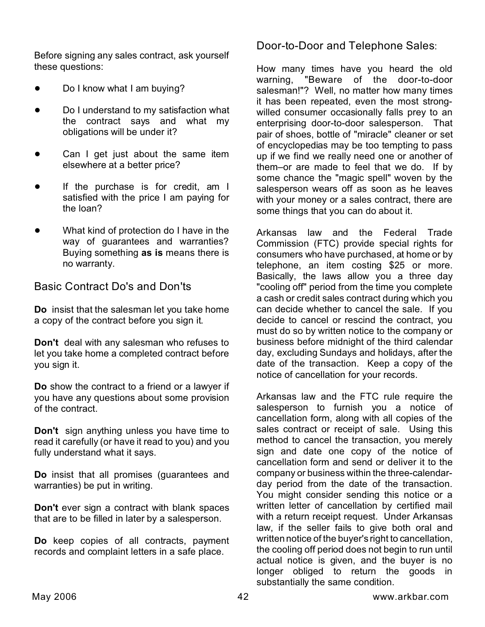Before signing any sales contract, ask yourself these questions:

- Do I know what I am buying?
- Do I understand to my satisfaction what the contract says and what my obligations will be under it?
- Can I get just about the same item elsewhere at a better price?
- If the purchase is for credit, am I satisfied with the price I am paying for the loan?
- What kind of protection do I have in the way of guarantees and warranties? Buying something **as is** means there is no warranty.

# Basic Contract Do's and Don'ts

**Do** insist that the salesman let you take home a copy of the contract before you sign it.

**Don't** deal with any salesman who refuses to let you take home a completed contract before you sign it.

**Do** show the contract to a friend or a lawyer if you have any questions about some provision of the contract.

**Don't** sign anything unless you have time to read it carefully (or have it read to you) and you fully understand what it says.

**Do** insist that all promises (guarantees and warranties) be put in writing.

**Don't** ever sign a contract with blank spaces that are to be filled in later by a salesperson.

**Do** keep copies of all contracts, payment records and complaint letters in a safe place.

# Door-to-Door and Telephone Sales:

How many times have you heard the old warning, "Beware of the door-to-door salesman!"? Well, no matter how many times it has been repeated, even the most strongwilled consumer occasionally falls prey to an enterprising door-to-door salesperson. That pair of shoes, bottle of "miracle" cleaner or set of encyclopedias may be too tempting to pass up if we find we really need one or another of them–or are made to feel that we do. If by some chance the "magic spell" woven by the salesperson wears off as soon as he leaves with your money or a sales contract, there are some things that you can do about it.

Arkansas law and the Federal Trade Commission (FTC) provide special rights for consumers who have purchased, at home or by telephone, an item costing \$25 or more. Basically, the laws allow you a three day "cooling off" period from the time you complete a cash or credit sales contract during which you can decide whether to cancel the sale. If you decide to cancel or rescind the contract, you must do so by written notice to the company or business before midnight of the third calendar day, excluding Sundays and holidays, after the date of the transaction. Keep a copy of the notice of cancellation for your records.

Arkansas law and the FTC rule require the salesperson to furnish you a notice of cancellation form, along with all copies of the sales contract or receipt of sale. Using this method to cancel the transaction, you merely sign and date one copy of the notice of cancellation form and send or deliver it to the company or business within the three-calendarday period from the date of the transaction. You might consider sending this notice or a written letter of cancellation by certified mail with a return receipt request. Under Arkansas law, if the seller fails to give both oral and written notice of the buyer's right to cancellation, the cooling off period does not begin to run until actual notice is given, and the buyer is no longer obliged to return the goods in substantially the same condition.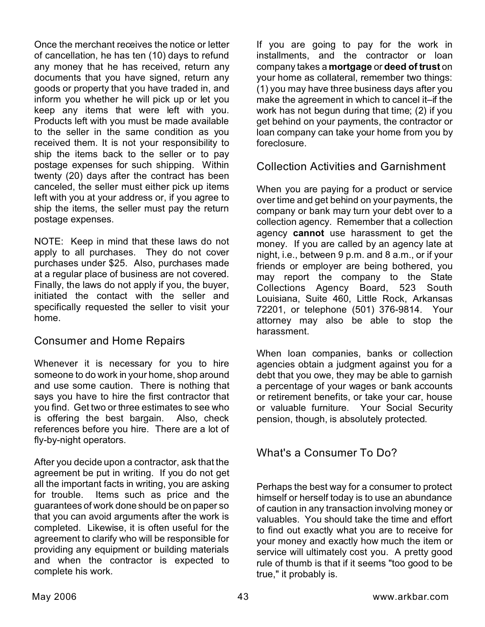Once the merchant receives the notice or letter of cancellation, he has ten (10) days to refund any money that he has received, return any documents that you have signed, return any goods or property that you have traded in, and inform you whether he will pick up or let you keep any items that were left with you. Products left with you must be made available to the seller in the same condition as you received them. It is not your responsibility to ship the items back to the seller or to pay postage expenses for such shipping. Within twenty (20) days after the contract has been canceled, the seller must either pick up items left with you at your address or, if you agree to ship the items, the seller must pay the return postage expenses.

NOTE: Keep in mind that these laws do not apply to all purchases. They do not cover purchases under \$25. Also, purchases made at a regular place of business are not covered. Finally, the laws do not apply if you, the buyer, initiated the contact with the seller and specifically requested the seller to visit your home.

# Consumer and Home Repairs

Whenever it is necessary for you to hire someone to do work in your home, shop around and use some caution. There is nothing that says you have to hire the first contractor that you find. Get two or three estimates to see who is offering the best bargain. Also, check references before you hire. There are a lot of fly-by-night operators.

After you decide upon a contractor, ask that the agreement be put in writing. If you do not get all the important facts in writing, you are asking for trouble. Items such as price and the guarantees of work done should be on paper so that you can avoid arguments after the work is completed. Likewise, it is often useful for the agreement to clarify who will be responsible for providing any equipment or building materials and when the contractor is expected to complete his work.

If you are going to pay for the work in installments, and the contractor or loan company takes a **mortgage** or **deed of trust** on your home as collateral, remember two things: (1) you may have three business days after you make the agreement in which to cancel it–if the work has not begun during that time; (2) if you get behind on your payments, the contractor or loan company can take your home from you by foreclosure.

### Collection Activities and Garnishment

When you are paying for a product or service over time and get behind on your payments, the company or bank may turn your debt over to a collection agency. Remember that a collection agency **cannot** use harassment to get the money. If you are called by an agency late at night, i.e., between 9 p.m. and 8 a.m., or if your friends or employer are being bothered, you may report the company to the State Collections Agency Board, 523 South Louisiana, Suite 460, Little Rock, Arkansas 72201, or telephone (501) 376-9814. Your attorney may also be able to stop the harassment.

When loan companies, banks or collection agencies obtain a judgment against you for a debt that you owe, they may be able to garnish a percentage of your wages or bank accounts or retirement benefits, or take your car, house or valuable furniture. Your Social Security pension, though, is absolutely protected.

# What's a Consumer To Do?

Perhaps the best way for a consumer to protect himself or herself today is to use an abundance of caution in any transaction involving money or valuables. You should take the time and effort to find out exactly what you are to receive for your money and exactly how much the item or service will ultimately cost you. A pretty good rule of thumb is that if it seems "too good to be true," it probably is.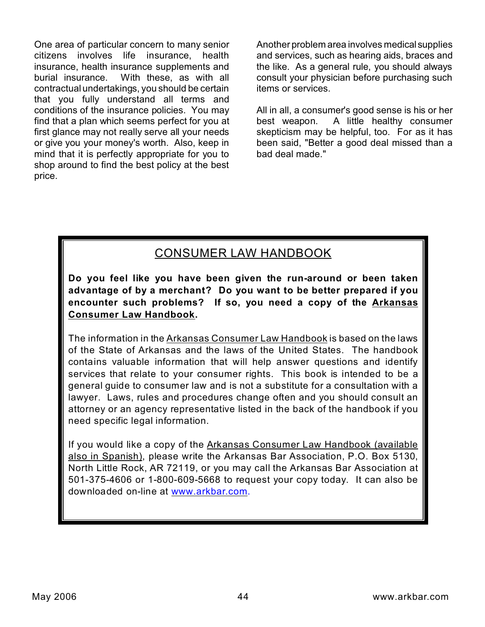One area of particular concern to many senior citizens involves life insurance, health insurance, health insurance supplements and burial insurance. With these, as with all contractual undertakings, you should be certain that you fully understand all terms and conditions of the insurance policies. You may find that a plan which seems perfect for you at first glance may not really serve all your needs or give you your money's worth. Also, keep in mind that it is perfectly appropriate for you to shop around to find the best policy at the best price.

Another problem area involves medical supplies and services, such as hearing aids, braces and the like. As a general rule, you should always consult your physician before purchasing such items or services.

All in all, a consumer's good sense is his or her best weapon. A little healthy consumer skepticism may be helpful, too. For as it has been said, "Better a good deal missed than a bad deal made."

# CONSUMER LAW HANDBOOK

**Do you feel like you have been given the run-around or been taken advantage of by a merchant? Do you want to be better prepared if you encounter such problems? If so, you need a copy of the Arkansas Consumer Law Handbook.**

The information in the Arkansas Consumer Law Handbook is based on the laws of the State of Arkansas and the laws of the United States. The handbook contains valuable information that will help answer questions and identify services that relate to your consumer rights. This book is intended to be a general guide to consumer law and is not a substitute for a consultation with a lawyer. Laws, rules and procedures change often and you should consult an attorney or an agency representative listed in the back of the handbook if you need specific legal information.

If you would like a copy of the Arkansas Consumer Law Handbook (available also in Spanish), please write the Arkansas Bar Association, P.O. Box 5130, North Little Rock, AR 72119, or you may call the Arkansas Bar Association at 501-375-4606 or 1-800-609-5668 to request your copy today. It can also be downloaded on-line at [www.arkbar.com.](http://www.arkbar.com.)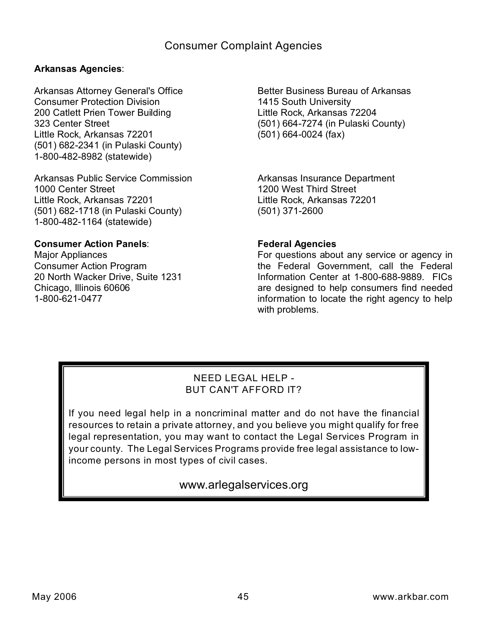### **Arkansas Agencies**:

Arkansas Attorney General's Office Consumer Protection Division 200 Catlett Prien Tower Building 323 Center Street Little Rock, Arkansas 72201 (501) 682-2341 (in Pulaski County) 1-800-482-8982 (statewide)

Arkansas Public Service Commission 1000 Center Street Little Rock, Arkansas 72201 (501) 682-1718 (in Pulaski County) 1-800-482-1164 (statewide)

### **Consumer Action Panels**:

Major Appliances Consumer Action Program 20 North Wacker Drive, Suite 1231 Chicago, Illinois 60606 1-800-621-0477

Better Business Bureau of Arkansas 1415 South University Little Rock, Arkansas 72204 (501) 664-7274 (in Pulaski County) (501) 664-0024 (fax)

Arkansas Insurance Department 1200 West Third Street Little Rock, Arkansas 72201 (501) 371-2600

### **Federal Agencies**

For questions about any service or agency in the Federal Government, call the Federal Information Center at 1-800-688-9889. FICs are designed to help consumers find needed information to locate the right agency to help with problems.

### NEED LEGAL HELP - BUT CAN'T AFFORD IT?

If you need legal help in a noncriminal matter and do not have the financial resources to retain a private attorney, and you believe you might qualify for free legal representation, you may want to contact the Legal Services Program in your county. The Legal Services Programs provide free legal assistance to lowincome persons in most types of civil cases.

www.arlegalservices.org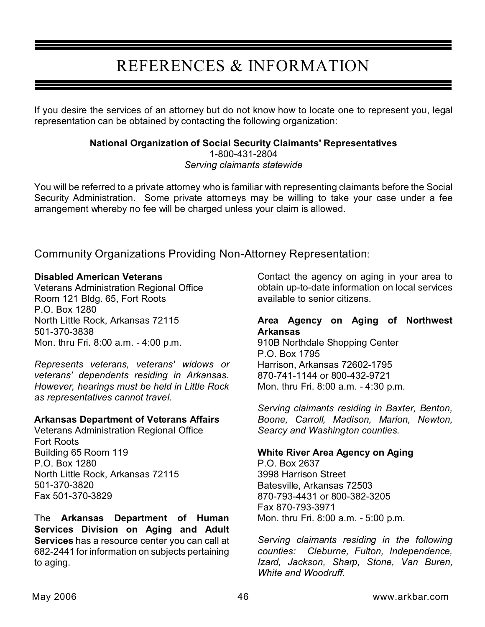# REFERENCES & INFORMATION

If you desire the services of an attorney but do not know how to locate one to represent you, legal representation can be obtained by contacting the following organization:

# **National Organization of Social Security Claimants' Representatives** 1-800-431-2804

*Serving claimants statewide*

You will be referred to a private attorney who is familiar with representing claimants before the Social Security Administration. Some private attorneys may be willing to take your case under a fee arrangement whereby no fee will be charged unless your claim is allowed.

Community Organizations Providing Non-Attorney Representation:

### **Disabled American Veterans**

Veterans Administration Regional Office Room 121 Bldg. 65, Fort Roots P.O. Box 1280 North Little Rock, Arkansas 72115 501-370-3838 Mon. thru Fri. 8:00 a.m. - 4:00 p.m.

*Represents veterans, veterans' widows or veterans' dependents residing in Arkansas. However, hearings must be held in Little Rock as representatives cannot travel.*

### **Arkansas Department of Veterans Affairs**

Veterans Administration Regional Office Fort Roots Building 65 Room 119 P.O. Box 1280 North Little Rock, Arkansas 72115 501-370-3820 Fax 501-370-3829

The **Arkansas Department of Human Services Division on Aging and Adult Services** has a resource center you can call at 682-2441 for information on subjects pertaining to aging.

Contact the agency on aging in your area to obtain up-to-date information on local services available to senior citizens.

### **Area Agency on Aging of Northwest Arkansas**

910B Northdale Shopping Center P.O. Box 1795 Harrison, Arkansas 72602-1795 870-741-1144 or 800-432-9721 Mon. thru Fri. 8:00 a.m. - 4:30 p.m.

*Serving claimants residing in Baxter, Benton, Boone, Carroll, Madison, Marion, Newton, Searcy and Washington counties.*

### **White River Area Agency on Aging**

P.O. Box 2637 3998 Harrison Street Batesville, Arkansas 72503 870-793-4431 or 800-382-3205 Fax 870-793-3971 Mon. thru Fri. 8:00 a.m. - 5:00 p.m.

*Serving claimants residing in the following counties: Cleburne, Fulton, Independence, Izard, Jackson, Sharp, Stone, Van Buren, White and Woodruff.*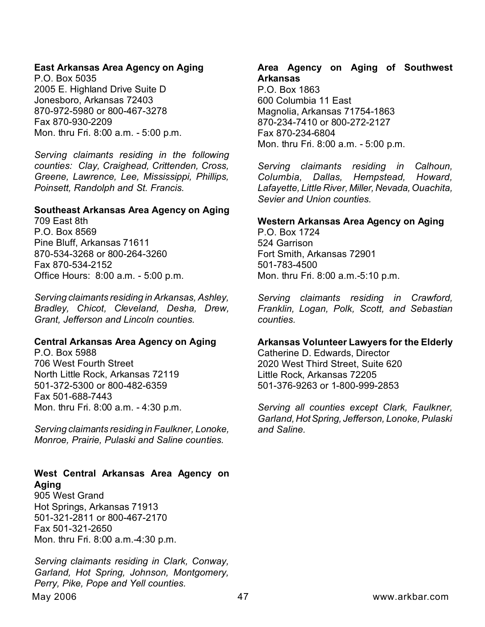### **East Arkansas Area Agency on Aging**

P.O. Box 5035 2005 E. Highland Drive Suite D Jonesboro, Arkansas 72403 870-972-5980 or 800-467-3278 Fax 870-930-2209 Mon. thru Fri. 8:00 a.m. - 5:00 p.m.

*Serving claimants residing in the following counties: Clay, Craighead, Crittenden, Cross, Greene, Lawrence, Lee, Mississippi, Phillips, Poinsett, Randolph and St. Francis.*

#### **Southeast Arkansas Area Agency on Aging**

709 East 8th P.O. Box 8569 Pine Bluff, Arkansas 71611 870-534-3268 or 800-264-3260 Fax 870-534-2152 Office Hours: 8:00 a.m. - 5:00 p.m.

*Serving claimants residing in Arkansas, Ashley, Bradley, Chicot, Cleveland, Desha, Drew, Grant, Jefferson and Lincoln counties.*

### **Central Arkansas Area Agency on Aging**

P.O. Box 5988 706 West Fourth Street North Little Rock, Arkansas 72119 501-372-5300 or 800-482-6359 Fax 501-688-7443 Mon. thru Fri. 8:00 a.m. - 4:30 p.m.

*Serving claimants residing in Faulkner, Lonoke, Monroe, Prairie, Pulaski and Saline counties.*

### **West Central Arkansas Area Agency on Aging**

905 West Grand Hot Springs, Arkansas 71913 501-321-2811 or 800-467-2170 Fax 501-321-2650 Mon. thru Fri. 8:00 a.m.-4:30 p.m.

May 2006 **1988 12006** May 2006 **1988 1200 May 2006** 2006 1200 May 2006 2010 1200 May 2006 2010 1200 May 2006 2010 *Serving claimants residing in Clark, Conway, Garland, Hot Spring, Johnson, Montgomery, Perry, Pike, Pope and Yell counties.*

### **Area Agency on Aging of Southwest Arkansas**

P.O. Box 1863 600 Columbia 11 East Magnolia, Arkansas 71754-1863 870-234-7410 or 800-272-2127 Fax 870-234-6804 Mon. thru Fri. 8:00 a.m. - 5:00 p.m.

*Serving claimants residing in Calhoun, Columbia, Dallas, Hempstead, Howard, Lafayette, Little River, Miller,Nevada, Ouachita, Sevier and Union counties.*

### **Western Arkansas Area Agency on Aging**

P.O. Box 1724 524 Garrison Fort Smith, Arkansas 72901 501-783-4500 Mon. thru Fri. 8:00 a.m.-5:10 p.m.

*Serving claimants residing in Crawford, Franklin, Logan, Polk, Scott, and Sebastian counties.*

### **Arkansas Volunteer Lawyers for the Elderly**

Catherine D. Edwards, Director 2020 West Third Street, Suite 620 Little Rock, Arkansas 72205 501-376-9263 or 1-800-999-2853

*Serving all counties except Clark, Faulkner, Garland,HotSpring, Jefferson, Lonoke, Pulaski and Saline.*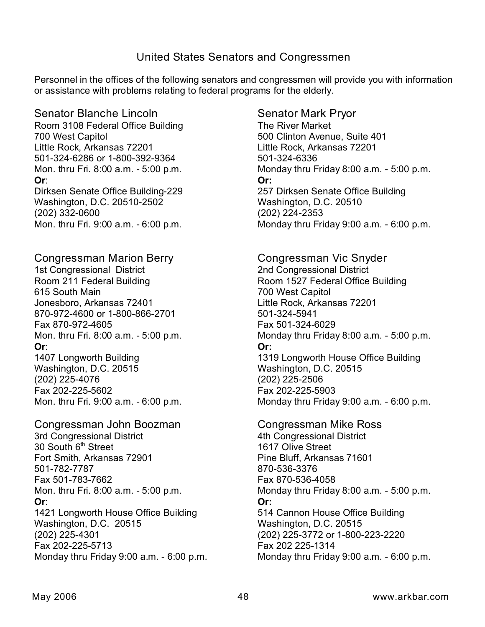### United States Senators and Congressmen

Personnel in the offices of the following senators and congressmen will provide you with information or assistance with problems relating to federal programs for the elderly.

Senator Blanche Lincoln Room 3108 Federal Office Building 700 West Capitol Little Rock, Arkansas 72201 501-324-6286 or 1-800-392-9364 Mon. thru Fri. 8:00 a.m. - 5:00 p.m. **Or**: Dirksen Senate Office Building-229 Washington, D.C. 20510-2502 (202) 332-0600 Mon. thru Fri. 9:00 a.m. - 6:00 p.m.

Congressman Marion Berry 1st Congressional District Room 211 Federal Building 615 South Main Jonesboro, Arkansas 72401 870-972-4600 or 1-800-866-2701 Fax 870-972-4605 Mon. thru Fri. 8:00 a.m. - 5:00 p.m. **Or**: 1407 Longworth Building Washington, D.C. 20515 (202) 225-4076 Fax 202-225-5602

Mon. thru Fri. 9:00 a.m. - 6:00 p.m.

Congressman John Boozman 3rd Congressional District  $30$  South  $6<sup>th</sup>$  Street Fort Smith, Arkansas 72901 501-782-7787 Fax 501-783-7662 Mon. thru Fri. 8:00 a.m. - 5:00 p.m. **Or**: 1421 Longworth House Office Building Washington, D.C. 20515 (202) 225-4301 Fax 202-225-5713 Monday thru Friday 9:00 a.m. - 6:00 p.m. Senator Mark Pryor The River Market 500 Clinton Avenue, Suite 401 Little Rock, Arkansas 72201 501-324-6336 Monday thru Friday 8:00 a.m. - 5:00 p.m. **Or:** 257 Dirksen Senate Office Building Washington, D.C. 20510 (202) 224-2353 Monday thru Friday 9:00 a.m. - 6:00 p.m.

Congressman Vic Snyder 2nd Congressional District Room 1527 Federal Office Building 700 West Capitol Little Rock, Arkansas 72201 501-324-5941 Fax 501-324-6029 Monday thru Friday 8:00 a.m. - 5:00 p.m. **Or:** 1319 Longworth House Office Building Washington, D.C. 20515 (202) 225-2506 Fax 202-225-5903 Monday thru Friday 9:00 a.m. - 6:00 p.m.

Congressman Mike Ross 4th Congressional District 1617 Olive Street Pine Bluff, Arkansas 71601 870-536-3376 Fax 870-536-4058 Monday thru Friday 8:00 a.m. - 5:00 p.m. **Or:** 514 Cannon House Office Building Washington, D.C. 20515 (202) 225-3772 or 1-800-223-2220 Fax 202 225-1314 Monday thru Friday 9:00 a.m. - 6:00 p.m.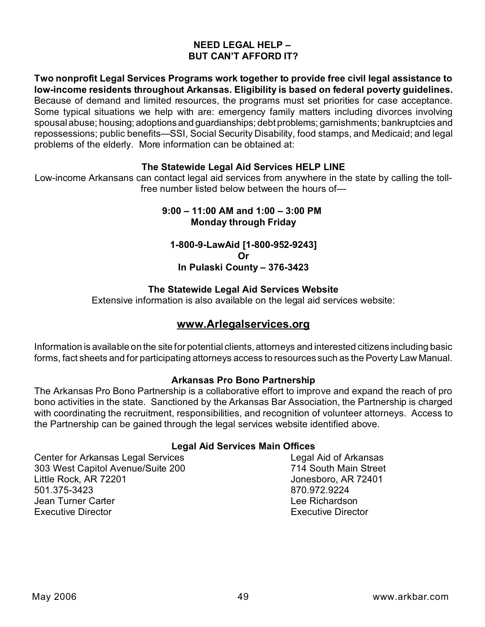### **NEED LEGAL HELP – BUT CAN'T AFFORD IT?**

**Two nonprofit Legal Services Programs work together to provide free civil legal assistance to low-income residents throughout Arkansas. Eligibility is based on federal poverty guidelines.** Because of demand and limited resources, the programs must set priorities for case acceptance. Some typical situations we help with are: emergency family matters including divorces involving spousal abuse; housing; adoptions and guardianships; debt problems; garnishments; bankruptcies and repossessions; public benefits—SSI, Social Security Disability, food stamps, and Medicaid; and legal problems of the elderly. More information can be obtained at:

### **The Statewide Legal Aid Services HELP LINE**

Low-income Arkansans can contact legal aid services from anywhere in the state by calling the tollfree number listed below between the hours of—

### **9:00 – 11:00 AM and 1:00 – 3:00 PM Monday through Friday**

**1-800-9-LawAid [1-800-952-9243] Or In Pulaski County – 376-3423**

### **The Statewide Legal Aid Services Website**

Extensive information is also available on the legal aid services website:

### **www.Arlegalservices.org**

Information is available on the site for potential clients, attorneys and interested citizens including basic forms, fact sheets and for participating attorneys access to resources such as the Poverty Law Manual.

#### **Arkansas Pro Bono Partnership**

The Arkansas Pro Bono Partnership is a collaborative effort to improve and expand the reach of pro bono activities in the state. Sanctioned by the Arkansas Bar Association, the Partnership is charged with coordinating the recruitment, responsibilities, and recognition of volunteer attorneys. Access to the Partnership can be gained through the legal services website identified above.

### **Legal Aid Services Main Offices**

Center for Arkansas Legal Services **Legal Aid of Arkansas** 303 West Capitol Avenue/Suite 200 714 South Main Street Little Rock, AR 72201 Jonesboro, AR 72401 501.375-3423 870.972.9224 Jean Turner Carter Lee Richardson Executive Director Executive Director